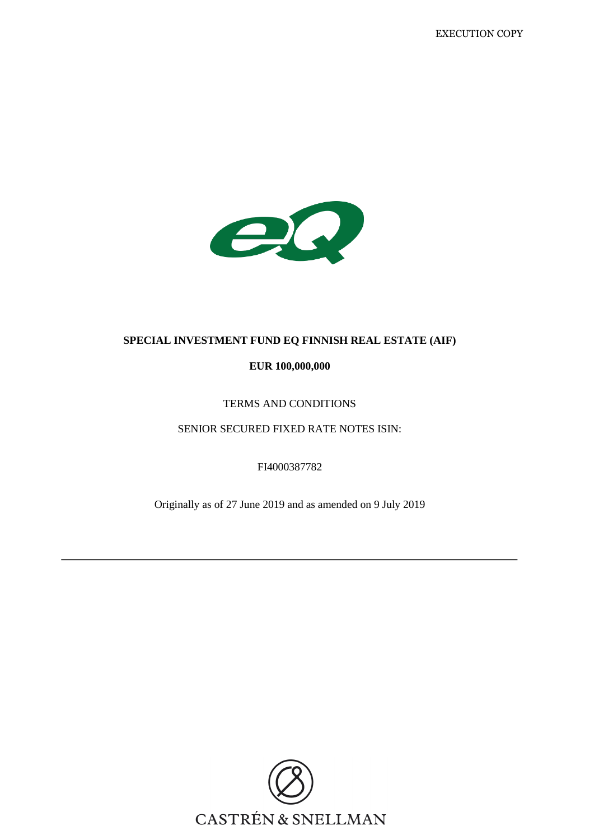

# **SPECIAL INVESTMENT FUND EQ FINNISH REAL ESTATE (AIF)**

# **EUR 100,000,000**

# TERMS AND CONDITIONS

SENIOR SECURED FIXED RATE NOTES ISIN:

FI4000387782

Originally as of 27 June 2019 and as amended on 9 July 2019

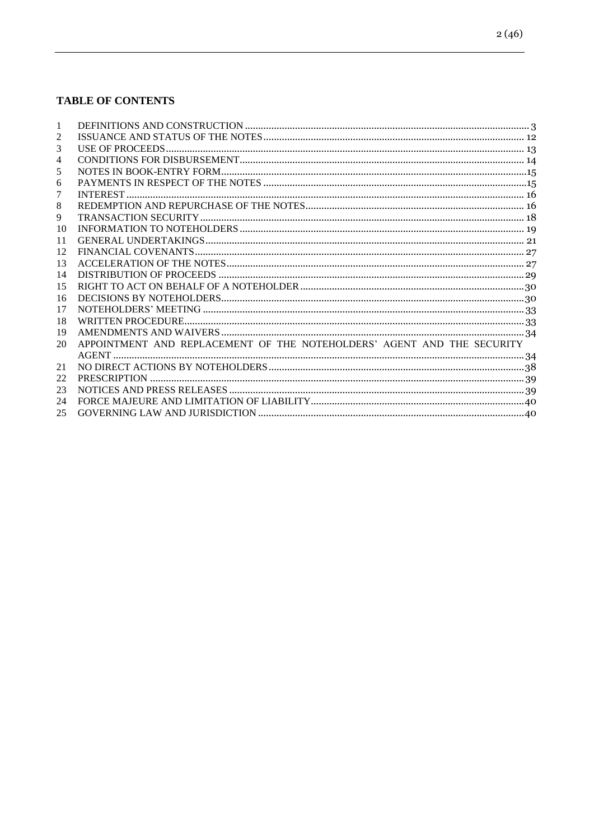# **TABLE OF CONTENTS**

| 2  |                                                                        |  |
|----|------------------------------------------------------------------------|--|
| 3  |                                                                        |  |
| 4  |                                                                        |  |
| 5  |                                                                        |  |
| 6  |                                                                        |  |
| 7  |                                                                        |  |
| 8  |                                                                        |  |
| 9  |                                                                        |  |
| 10 |                                                                        |  |
| 11 |                                                                        |  |
| 12 |                                                                        |  |
| 13 |                                                                        |  |
| 14 |                                                                        |  |
| 15 |                                                                        |  |
| 16 |                                                                        |  |
| 17 |                                                                        |  |
| 18 |                                                                        |  |
| 19 |                                                                        |  |
| 20 | APPOINTMENT AND REPLACEMENT OF THE NOTEHOLDERS' AGENT AND THE SECURITY |  |
|    |                                                                        |  |
| 21 |                                                                        |  |
| 22 |                                                                        |  |
| 23 |                                                                        |  |
| 24 |                                                                        |  |
| 25 |                                                                        |  |
|    |                                                                        |  |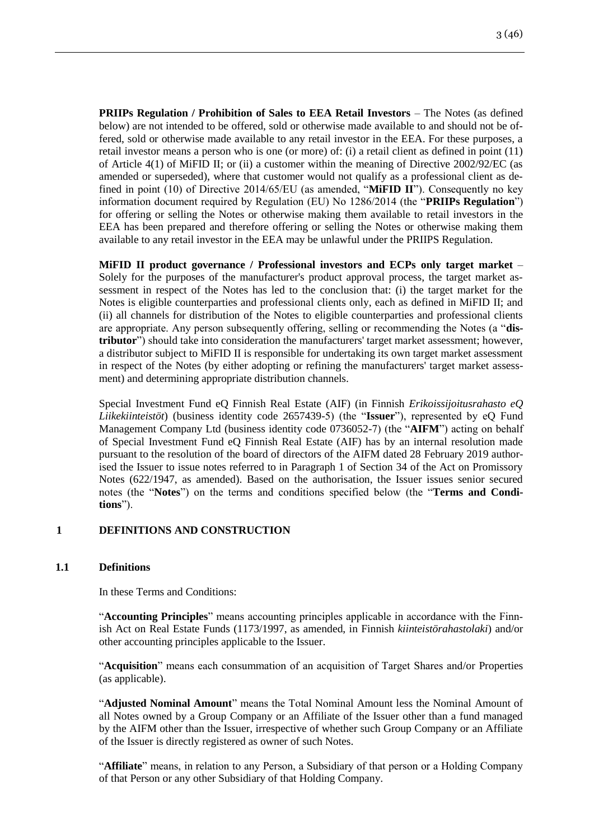**PRIIPs Regulation / Prohibition of Sales to EEA Retail Investors** – The Notes (as defined below) are not intended to be offered, sold or otherwise made available to and should not be offered, sold or otherwise made available to any retail investor in the EEA. For these purposes, a retail investor means a person who is one (or more) of: (i) a retail client as defined in point (11) of Article 4(1) of MiFID II; or (ii) a customer within the meaning of Directive 2002/92/EC (as amended or superseded), where that customer would not qualify as a professional client as defined in point (10) of Directive 2014/65/EU (as amended, "**MiFID II**"). Consequently no key information document required by Regulation (EU) No 1286/2014 (the "**PRIIPs Regulation**") for offering or selling the Notes or otherwise making them available to retail investors in the EEA has been prepared and therefore offering or selling the Notes or otherwise making them available to any retail investor in the EEA may be unlawful under the PRIIPS Regulation.

**MiFID II product governance / Professional investors and ECPs only target market** – Solely for the purposes of the manufacturer's product approval process, the target market assessment in respect of the Notes has led to the conclusion that: (i) the target market for the Notes is eligible counterparties and professional clients only, each as defined in MiFID II; and (ii) all channels for distribution of the Notes to eligible counterparties and professional clients are appropriate. Any person subsequently offering, selling or recommending the Notes (a "**distributor**") should take into consideration the manufacturers' target market assessment; however, a distributor subject to MiFID II is responsible for undertaking its own target market assessment in respect of the Notes (by either adopting or refining the manufacturers' target market assessment) and determining appropriate distribution channels.

Special Investment Fund eQ Finnish Real Estate (AIF) (in Finnish *Erikoissijoitusrahasto eQ Liikekiinteistöt*) (business identity code 2657439-5) (the "**Issuer**"), represented by eQ Fund Management Company Ltd (business identity code 0736052-7) (the "**AIFM**") acting on behalf of Special Investment Fund eQ Finnish Real Estate (AIF) has by an internal resolution made pursuant to the resolution of the board of directors of the AIFM dated 28 February 2019 authorised the Issuer to issue notes referred to in Paragraph 1 of Section 34 of the Act on Promissory Notes (622/1947, as amended). Based on the authorisation, the Issuer issues senior secured notes (the "**Notes**") on the terms and conditions specified below (the "**Terms and Conditions**").

# <span id="page-2-0"></span>**1 DEFINITIONS AND CONSTRUCTION**

# **1.1 Definitions**

In these Terms and Conditions:

"**Accounting Principles**" means accounting principles applicable in accordance with the Finnish Act on Real Estate Funds (1173/1997, as amended, in Finnish *kiinteistörahastolaki*) and/or other accounting principles applicable to the Issuer.

"**Acquisition**" means each consummation of an acquisition of Target Shares and/or Properties (as applicable).

"**Adjusted Nominal Amount**" means the Total Nominal Amount less the Nominal Amount of all Notes owned by a Group Company or an Affiliate of the Issuer other than a fund managed by the AIFM other than the Issuer, irrespective of whether such Group Company or an Affiliate of the Issuer is directly registered as owner of such Notes.

"**Affiliate**" means, in relation to any Person, a Subsidiary of that person or a Holding Company of that Person or any other Subsidiary of that Holding Company.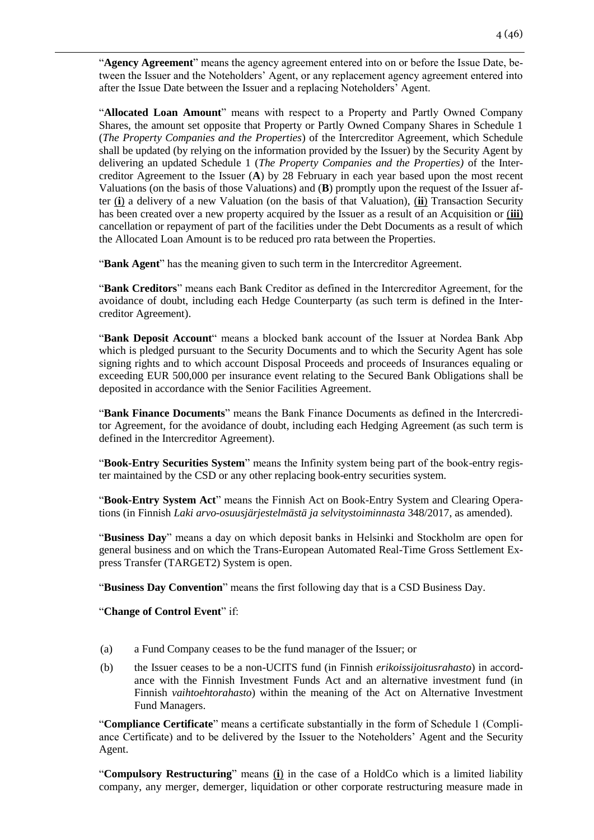"**Agency Agreement**" means the agency agreement entered into on or before the Issue Date, between the Issuer and the Noteholders' Agent, or any replacement agency agreement entered into after the Issue Date between the Issuer and a replacing Noteholders' Agent.

"**Allocated Loan Amount**" means with respect to a Property and Partly Owned Company Shares, the amount set opposite that Property or Partly Owned Company Shares in Schedule 1 (*The Property Companies and the Properties*) of the Intercreditor Agreement, which Schedule shall be updated (by relying on the information provided by the Issuer) by the Security Agent by delivering an updated Schedule 1 (*The Property Companies and the Properties)* of the Intercreditor Agreement to the Issuer (**A**) by 28 February in each year based upon the most recent Valuations (on the basis of those Valuations) and (**B**) promptly upon the request of the Issuer after (**i**) a delivery of a new Valuation (on the basis of that Valuation), (**ii**) Transaction Security has been created over a new property acquired by the Issuer as a result of an Acquisition or (**iii**) cancellation or repayment of part of the facilities under the Debt Documents as a result of which the Allocated Loan Amount is to be reduced pro rata between the Properties.

"**Bank Agent**" has the meaning given to such term in the Intercreditor Agreement.

"**Bank Creditors**" means each Bank Creditor as defined in the Intercreditor Agreement, for the avoidance of doubt, including each Hedge Counterparty (as such term is defined in the Intercreditor Agreement).

"**Bank Deposit Account**" means a blocked bank account of the Issuer at Nordea Bank Abp which is pledged pursuant to the Security Documents and to which the Security Agent has sole signing rights and to which account Disposal Proceeds and proceeds of Insurances equaling or exceeding EUR 500,000 per insurance event relating to the Secured Bank Obligations shall be deposited in accordance with the Senior Facilities Agreement.

"**Bank Finance Documents**" means the Bank Finance Documents as defined in the Intercreditor Agreement, for the avoidance of doubt, including each Hedging Agreement (as such term is defined in the Intercreditor Agreement).

"**Book-Entry Securities System**" means the Infinity system being part of the book-entry register maintained by the CSD or any other replacing book-entry securities system.

"**Book-Entry System Act**" means the Finnish Act on Book-Entry System and Clearing Operations (in Finnish *Laki arvo-osuusjärjestelmästä ja selvitystoiminnasta* 348/2017, as amended).

"**Business Day**" means a day on which deposit banks in Helsinki and Stockholm are open for general business and on which the Trans-European Automated Real-Time Gross Settlement Express Transfer (TARGET2) System is open.

"**Business Day Convention**" means the first following day that is a CSD Business Day.

#### "**Change of Control Event**" if:

- (a) a Fund Company ceases to be the fund manager of the Issuer; or
- (b) the Issuer ceases to be a non-UCITS fund (in Finnish *erikoissijoitusrahasto*) in accordance with the Finnish Investment Funds Act and an alternative investment fund (in Finnish *vaihtoehtorahasto*) within the meaning of the Act on Alternative Investment Fund Managers.

"**Compliance Certificate**" means a certificate substantially in the form of Schedule 1 (Compliance Certificate) and to be delivered by the Issuer to the Noteholders' Agent and the Security Agent.

"**Compulsory Restructuring**" means (**i**) in the case of a HoldCo which is a limited liability company, any merger, demerger, liquidation or other corporate restructuring measure made in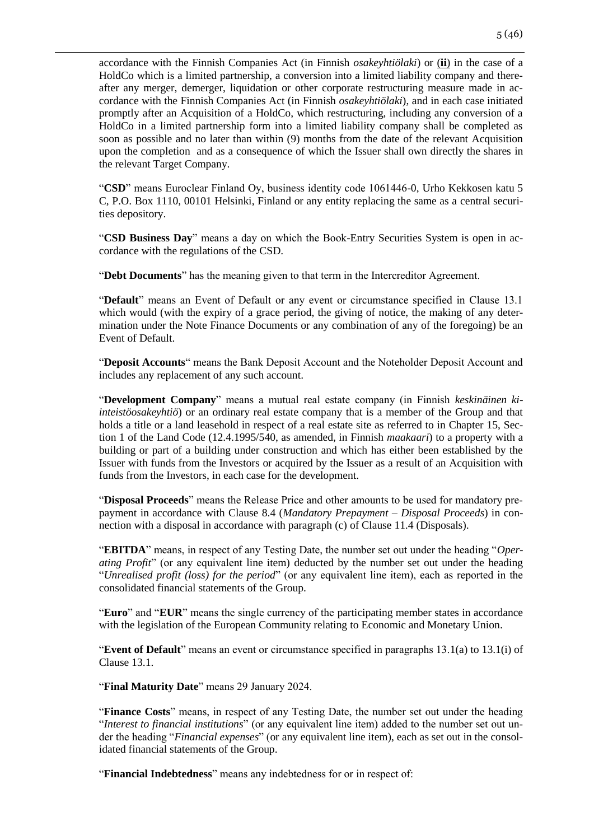accordance with the Finnish Companies Act (in Finnish *osakeyhtiölaki*) or (**ii**) in the case of a HoldCo which is a limited partnership, a conversion into a limited liability company and thereafter any merger, demerger, liquidation or other corporate restructuring measure made in accordance with the Finnish Companies Act (in Finnish *osakeyhtiölaki*), and in each case initiated promptly after an Acquisition of a HoldCo, which restructuring, including any conversion of a HoldCo in a limited partnership form into a limited liability company shall be completed as soon as possible and no later than within (9) months from the date of the relevant Acquisition upon the completion and as a consequence of which the Issuer shall own directly the shares in the relevant Target Company.

"**CSD**" means Euroclear Finland Oy, business identity code 1061446-0, Urho Kekkosen katu 5 C, P.O. Box 1110, 00101 Helsinki, Finland or any entity replacing the same as a central securities depository.

"**CSD Business Day**" means a day on which the Book-Entry Securities System is open in accordance with the regulations of the CSD.

"**Debt Documents**" has the meaning given to that term in the Intercreditor Agreement.

"**Default**" means an Event of Default or any event or circumstance specified in Clause 13.1 which would (with the expiry of a grace period, the giving of notice, the making of any determination under the Note Finance Documents or any combination of any of the foregoing) be an Event of Default.

"**Deposit Accounts**" means the Bank Deposit Account and the Noteholder Deposit Account and includes any replacement of any such account.

"**Development Company**" means a mutual real estate company (in Finnish *keskinäinen kiinteistöosakeyhtiö*) or an ordinary real estate company that is a member of the Group and that holds a title or a land leasehold in respect of a real estate site as referred to in Chapter 15, Section 1 of the Land Code (12.4.1995/540, as amended, in Finnish *maakaari*) to a property with a building or part of a building under construction and which has either been established by the Issuer with funds from the Investors or acquired by the Issuer as a result of an Acquisition with funds from the Investors, in each case for the development.

"**Disposal Proceeds**" means the Release Price and other amounts to be used for mandatory prepayment in accordance with Clause 8.4 (*Mandatory Prepayment – Disposal Proceeds*) in connection with a disposal in accordance with paragraph (c) of Clause 11.4 (Disposals).

"**EBITDA**" means, in respect of any Testing Date, the number set out under the heading "*Operating Profit*" (or any equivalent line item) deducted by the number set out under the heading "*Unrealised profit (loss) for the period*" (or any equivalent line item), each as reported in the consolidated financial statements of the Group.

"**Euro**" and "**EUR**" means the single currency of the participating member states in accordance with the legislation of the European Community relating to Economic and Monetary Union.

"**Event of Default**" means an event or circumstance specified in paragraphs 13.1(a) to 13.1(i) of Clause 13.1.

"**Final Maturity Date**" means 29 January 2024.

"**Finance Costs**" means, in respect of any Testing Date, the number set out under the heading "*Interest to financial institutions*" (or any equivalent line item) added to the number set out under the heading "*Financial expenses*" (or any equivalent line item), each as set out in the consolidated financial statements of the Group.

"**Financial Indebtedness**" means any indebtedness for or in respect of: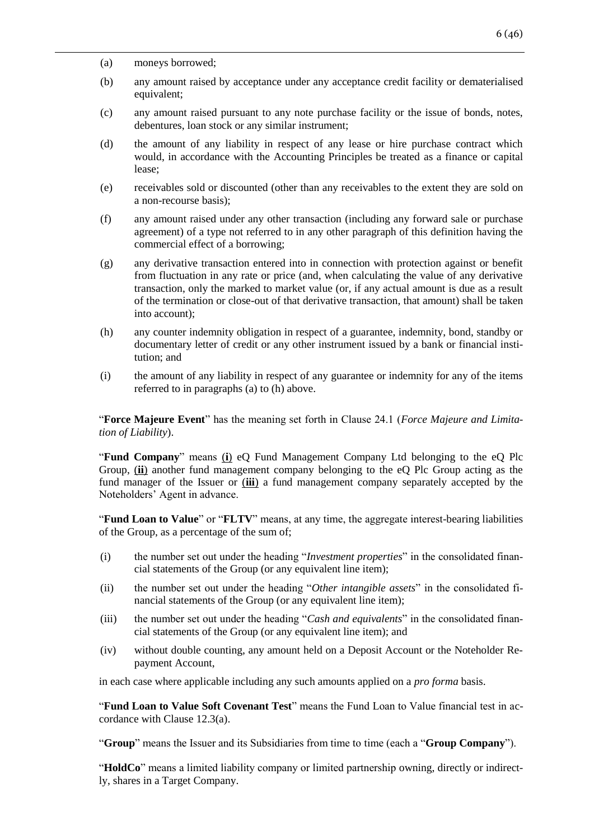- (a) moneys borrowed;
- (b) any amount raised by acceptance under any acceptance credit facility or dematerialised equivalent;
- (c) any amount raised pursuant to any note purchase facility or the issue of bonds, notes, debentures, loan stock or any similar instrument;
- (d) the amount of any liability in respect of any lease or hire purchase contract which would, in accordance with the Accounting Principles be treated as a finance or capital lease;
- (e) receivables sold or discounted (other than any receivables to the extent they are sold on a non-recourse basis);
- (f) any amount raised under any other transaction (including any forward sale or purchase agreement) of a type not referred to in any other paragraph of this definition having the commercial effect of a borrowing;
- (g) any derivative transaction entered into in connection with protection against or benefit from fluctuation in any rate or price (and, when calculating the value of any derivative transaction, only the marked to market value (or, if any actual amount is due as a result of the termination or close-out of that derivative transaction, that amount) shall be taken into account);
- (h) any counter indemnity obligation in respect of a guarantee, indemnity, bond, standby or documentary letter of credit or any other instrument issued by a bank or financial institution; and
- (i) the amount of any liability in respect of any guarantee or indemnity for any of the items referred to in paragraphs (a) to (h) above.

"**Force Majeure Event**" has the meaning set forth in Clause 24.1 (*Force Majeure and Limitation of Liability*).

"**Fund Company**" means (**i**) eQ Fund Management Company Ltd belonging to the eQ Plc Group, (**ii**) another fund management company belonging to the eQ Plc Group acting as the fund manager of the Issuer or (**iii**) a fund management company separately accepted by the Noteholders' Agent in advance.

"**Fund Loan to Value**" or "**FLTV**" means, at any time, the aggregate interest-bearing liabilities of the Group, as a percentage of the sum of;

- (i) the number set out under the heading "*Investment properties*" in the consolidated financial statements of the Group (or any equivalent line item);
- (ii) the number set out under the heading "*Other intangible assets*" in the consolidated financial statements of the Group (or any equivalent line item);
- (iii) the number set out under the heading "*Cash and equivalents*" in the consolidated financial statements of the Group (or any equivalent line item); and
- (iv) without double counting, any amount held on a Deposit Account or the Noteholder Repayment Account,

in each case where applicable including any such amounts applied on a *pro forma* basis.

"**Fund Loan to Value Soft Covenant Test**" means the Fund Loan to Value financial test in accordance with Clause 12.3(a).

"**Group**" means the Issuer and its Subsidiaries from time to time (each a "**Group Company**").

"**HoldCo**" means a limited liability company or limited partnership owning, directly or indirectly, shares in a Target Company.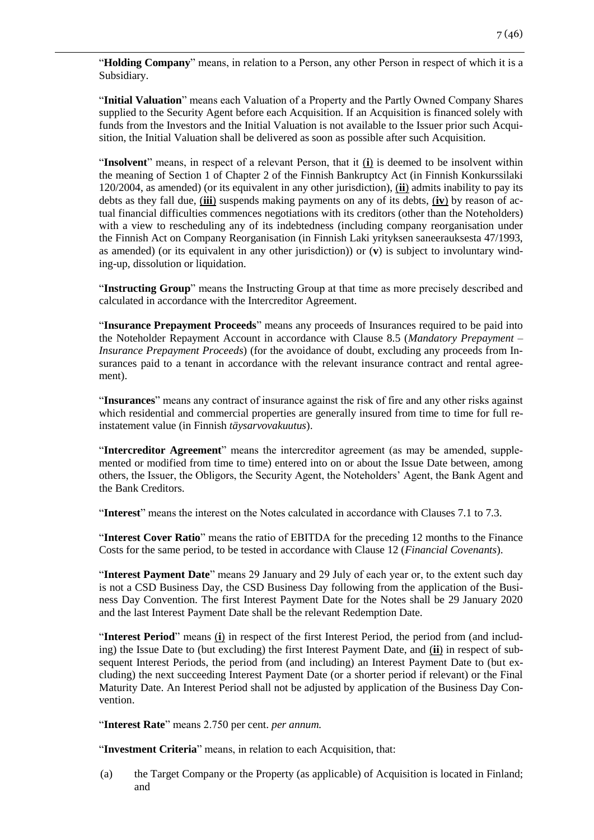"**Holding Company**" means, in relation to a Person, any other Person in respect of which it is a Subsidiary.

"**Initial Valuation**" means each Valuation of a Property and the Partly Owned Company Shares supplied to the Security Agent before each Acquisition. If an Acquisition is financed solely with funds from the Investors and the Initial Valuation is not available to the Issuer prior such Acquisition, the Initial Valuation shall be delivered as soon as possible after such Acquisition.

"**Insolvent**" means, in respect of a relevant Person, that it (**i**) is deemed to be insolvent within the meaning of Section 1 of Chapter 2 of the Finnish Bankruptcy Act (in Finnish Konkurssilaki 120/2004, as amended) (or its equivalent in any other jurisdiction), (**ii**) admits inability to pay its debts as they fall due, (**iii**) suspends making payments on any of its debts, (**iv**) by reason of actual financial difficulties commences negotiations with its creditors (other than the Noteholders) with a view to rescheduling any of its indebtedness (including company reorganisation under the Finnish Act on Company Reorganisation (in Finnish Laki yrityksen saneerauksesta 47/1993, as amended) (or its equivalent in any other jurisdiction)) or (**v**) is subject to involuntary winding-up, dissolution or liquidation.

"**Instructing Group**" means the Instructing Group at that time as more precisely described and calculated in accordance with the Intercreditor Agreement.

"**Insurance Prepayment Proceeds**" means any proceeds of Insurances required to be paid into the Noteholder Repayment Account in accordance with Clause 8.5 (*Mandatory Prepayment – Insurance Prepayment Proceeds*) (for the avoidance of doubt, excluding any proceeds from Insurances paid to a tenant in accordance with the relevant insurance contract and rental agreement).

"**Insurances**" means any contract of insurance against the risk of fire and any other risks against which residential and commercial properties are generally insured from time to time for full reinstatement value (in Finnish *täysarvovakuutus*).

"**Intercreditor Agreement**" means the intercreditor agreement (as may be amended, supplemented or modified from time to time) entered into on or about the Issue Date between, among others, the Issuer, the Obligors, the Security Agent, the Noteholders' Agent, the Bank Agent and the Bank Creditors.

"**Interest**" means the interest on the Notes calculated in accordance with Clauses 7.1 to 7.3.

"**Interest Cover Ratio**" means the ratio of EBITDA for the preceding 12 months to the Finance Costs for the same period, to be tested in accordance with Clause 12 (*Financial Covenants*).

"**Interest Payment Date**" means 29 January and 29 July of each year or, to the extent such day is not a CSD Business Day, the CSD Business Day following from the application of the Business Day Convention. The first Interest Payment Date for the Notes shall be 29 January 2020 and the last Interest Payment Date shall be the relevant Redemption Date.

"**Interest Period**" means (**i**) in respect of the first Interest Period, the period from (and including) the Issue Date to (but excluding) the first Interest Payment Date, and (**ii**) in respect of subsequent Interest Periods, the period from (and including) an Interest Payment Date to (but excluding) the next succeeding Interest Payment Date (or a shorter period if relevant) or the Final Maturity Date. An Interest Period shall not be adjusted by application of the Business Day Convention.

"**Interest Rate**" means 2.750 per cent. *per annum.*

"**Investment Criteria**" means, in relation to each Acquisition, that:

(a) the Target Company or the Property (as applicable) of Acquisition is located in Finland; and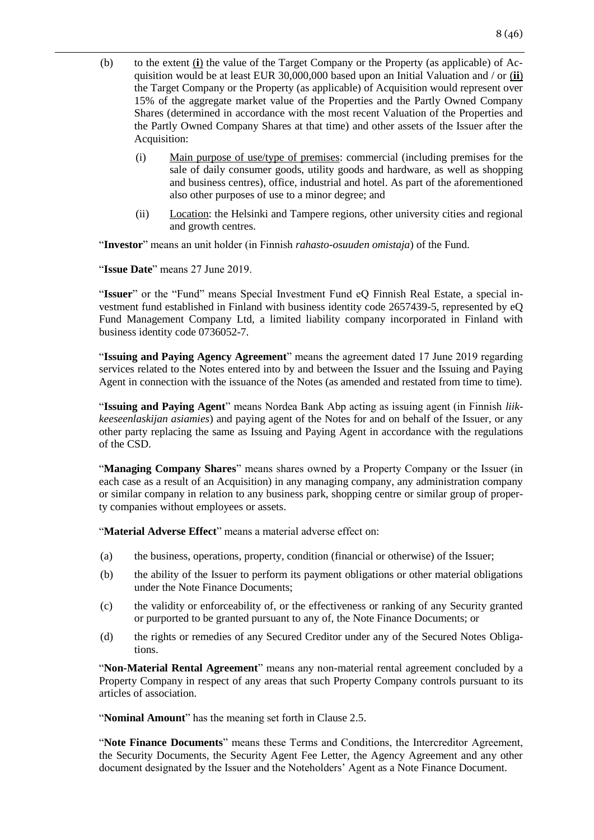- (b) to the extent (**i**) the value of the Target Company or the Property (as applicable) of Acquisition would be at least EUR 30,000,000 based upon an Initial Valuation and / or (**ii**) the Target Company or the Property (as applicable) of Acquisition would represent over 15% of the aggregate market value of the Properties and the Partly Owned Company Shares (determined in accordance with the most recent Valuation of the Properties and the Partly Owned Company Shares at that time) and other assets of the Issuer after the Acquisition:
	- (i) Main purpose of use/type of premises: commercial (including premises for the sale of daily consumer goods, utility goods and hardware, as well as shopping and business centres), office, industrial and hotel. As part of the aforementioned also other purposes of use to a minor degree; and
	- (ii) Location: the Helsinki and Tampere regions, other university cities and regional and growth centres.

"**Investor**" means an unit holder (in Finnish *rahasto-osuuden omistaja*) of the Fund.

"**Issue Date**" means 27 June 2019.

"**Issuer**" or the "Fund" means Special Investment Fund eQ Finnish Real Estate, a special investment fund established in Finland with business identity code 2657439-5, represented by eQ Fund Management Company Ltd, a limited liability company incorporated in Finland with business identity code 0736052-7.

"**Issuing and Paying Agency Agreement**" means the agreement dated 17 June 2019 regarding services related to the Notes entered into by and between the Issuer and the Issuing and Paying Agent in connection with the issuance of the Notes (as amended and restated from time to time).

"**Issuing and Paying Agent**" means Nordea Bank Abp acting as issuing agent (in Finnish *liikkeeseenlaskijan asiamies*) and paying agent of the Notes for and on behalf of the Issuer, or any other party replacing the same as Issuing and Paying Agent in accordance with the regulations of the CSD.

"**Managing Company Shares**" means shares owned by a Property Company or the Issuer (in each case as a result of an Acquisition) in any managing company, any administration company or similar company in relation to any business park, shopping centre or similar group of property companies without employees or assets.

"**Material Adverse Effect**" means a material adverse effect on:

- (a) the business, operations, property, condition (financial or otherwise) of the Issuer;
- (b) the ability of the Issuer to perform its payment obligations or other material obligations under the Note Finance Documents;
- (c) the validity or enforceability of, or the effectiveness or ranking of any Security granted or purported to be granted pursuant to any of, the Note Finance Documents; or
- (d) the rights or remedies of any Secured Creditor under any of the Secured Notes Obligations.

"**Non-Material Rental Agreement**" means any non-material rental agreement concluded by a Property Company in respect of any areas that such Property Company controls pursuant to its articles of association.

"**Nominal Amount**" has the meaning set forth in Clause 2.5.

"**Note Finance Documents**" means these Terms and Conditions, the Intercreditor Agreement, the Security Documents, the Security Agent Fee Letter, the Agency Agreement and any other document designated by the Issuer and the Noteholders' Agent as a Note Finance Document.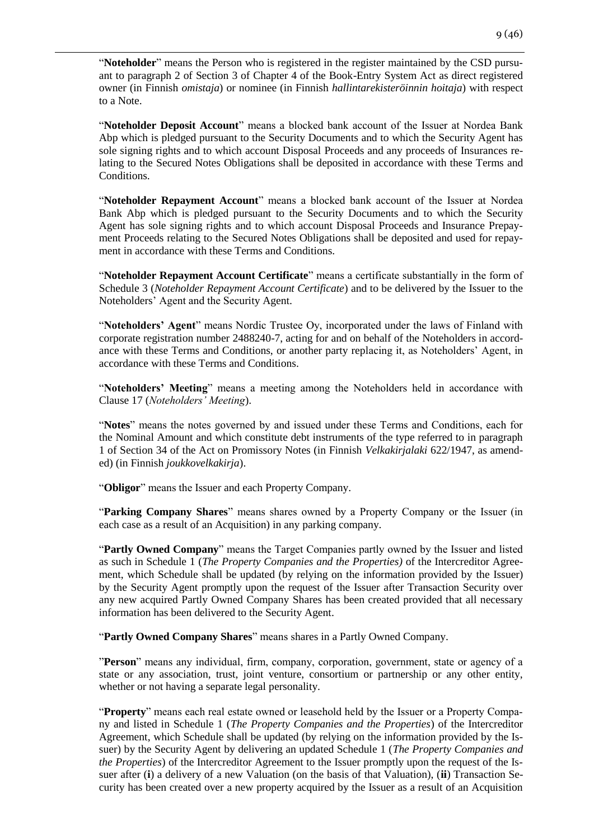"**Noteholder**" means the Person who is registered in the register maintained by the CSD pursuant to paragraph 2 of Section 3 of Chapter 4 of the Book-Entry System Act as direct registered owner (in Finnish *omistaja*) or nominee (in Finnish *hallintarekisteröinnin hoitaja*) with respect to a Note.

"**Noteholder Deposit Account**" means a blocked bank account of the Issuer at Nordea Bank Abp which is pledged pursuant to the Security Documents and to which the Security Agent has sole signing rights and to which account Disposal Proceeds and any proceeds of Insurances relating to the Secured Notes Obligations shall be deposited in accordance with these Terms and Conditions.

"**Noteholder Repayment Account**" means a blocked bank account of the Issuer at Nordea Bank Abp which is pledged pursuant to the Security Documents and to which the Security Agent has sole signing rights and to which account Disposal Proceeds and Insurance Prepayment Proceeds relating to the Secured Notes Obligations shall be deposited and used for repayment in accordance with these Terms and Conditions.

"**Noteholder Repayment Account Certificate**" means a certificate substantially in the form of Schedule 3 (*Noteholder Repayment Account Certificate*) and to be delivered by the Issuer to the Noteholders' Agent and the Security Agent.

"**Noteholders' Agent**" means Nordic Trustee Oy, incorporated under the laws of Finland with corporate registration number 2488240-7, acting for and on behalf of the Noteholders in accordance with these Terms and Conditions, or another party replacing it, as Noteholders' Agent, in accordance with these Terms and Conditions.

"**Noteholders' Meeting**" means a meeting among the Noteholders held in accordance with Clause 17 (*Noteholders' Meeting*).

"**Notes**" means the notes governed by and issued under these Terms and Conditions, each for the Nominal Amount and which constitute debt instruments of the type referred to in paragraph 1 of Section 34 of the Act on Promissory Notes (in Finnish *Velkakirjalaki* 622/1947, as amended) (in Finnish *joukkovelkakirja*).

"**Obligor**" means the Issuer and each Property Company.

"**Parking Company Shares**" means shares owned by a Property Company or the Issuer (in each case as a result of an Acquisition) in any parking company.

"**Partly Owned Company**" means the Target Companies partly owned by the Issuer and listed as such in Schedule 1 (*The Property Companies and the Properties)* of the Intercreditor Agreement, which Schedule shall be updated (by relying on the information provided by the Issuer) by the Security Agent promptly upon the request of the Issuer after Transaction Security over any new acquired Partly Owned Company Shares has been created provided that all necessary information has been delivered to the Security Agent.

"**Partly Owned Company Shares**" means shares in a Partly Owned Company.

"**Person**" means any individual, firm, company, corporation, government, state or agency of a state or any association, trust, joint venture, consortium or partnership or any other entity, whether or not having a separate legal personality.

"**Property**" means each real estate owned or leasehold held by the Issuer or a Property Company and listed in Schedule 1 (*The Property Companies and the Properties*) of the Intercreditor Agreement, which Schedule shall be updated (by relying on the information provided by the Issuer) by the Security Agent by delivering an updated Schedule 1 (*The Property Companies and the Properties*) of the Intercreditor Agreement to the Issuer promptly upon the request of the Issuer after (**i**) a delivery of a new Valuation (on the basis of that Valuation), (**ii**) Transaction Security has been created over a new property acquired by the Issuer as a result of an Acquisition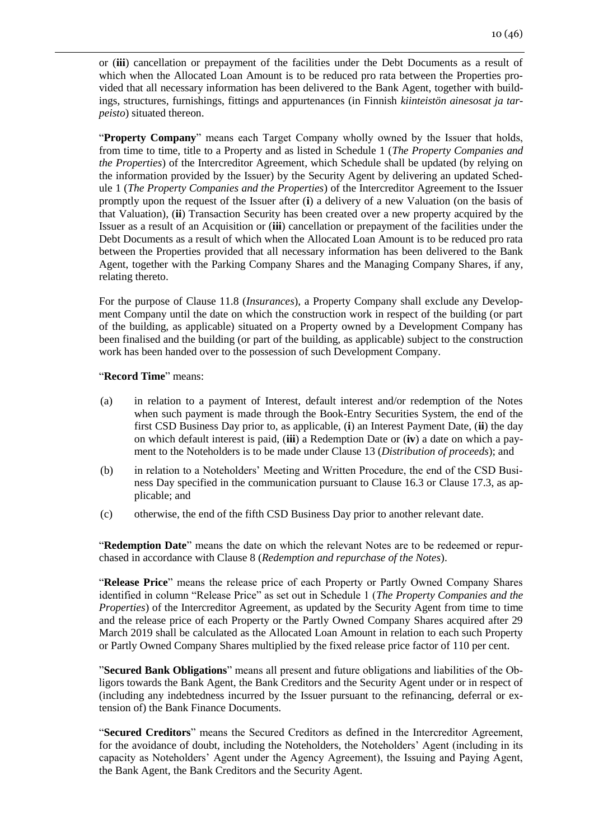or (**iii**) cancellation or prepayment of the facilities under the Debt Documents as a result of which when the Allocated Loan Amount is to be reduced pro rata between the Properties provided that all necessary information has been delivered to the Bank Agent, together with buildings, structures, furnishings, fittings and appurtenances (in Finnish *kiinteistön ainesosat ja tarpeisto*) situated thereon.

"**Property Company**" means each Target Company wholly owned by the Issuer that holds, from time to time, title to a Property and as listed in Schedule 1 (*The Property Companies and the Properties*) of the Intercreditor Agreement, which Schedule shall be updated (by relying on the information provided by the Issuer) by the Security Agent by delivering an updated Schedule 1 (*The Property Companies and the Properties*) of the Intercreditor Agreement to the Issuer promptly upon the request of the Issuer after (**i**) a delivery of a new Valuation (on the basis of that Valuation), (**ii**) Transaction Security has been created over a new property acquired by the Issuer as a result of an Acquisition or (**iii**) cancellation or prepayment of the facilities under the Debt Documents as a result of which when the Allocated Loan Amount is to be reduced pro rata between the Properties provided that all necessary information has been delivered to the Bank Agent, together with the Parking Company Shares and the Managing Company Shares, if any, relating thereto.

For the purpose of Clause 11.8 (*Insurances*), a Property Company shall exclude any Development Company until the date on which the construction work in respect of the building (or part of the building, as applicable) situated on a Property owned by a Development Company has been finalised and the building (or part of the building, as applicable) subject to the construction work has been handed over to the possession of such Development Company.

#### "**Record Time**" means:

- (a) in relation to a payment of Interest, default interest and/or redemption of the Notes when such payment is made through the Book-Entry Securities System, the end of the first CSD Business Day prior to, as applicable, (**i**) an Interest Payment Date, (**ii**) the day on which default interest is paid, (**iii**) a Redemption Date or (**iv**) a date on which a payment to the Noteholders is to be made under Clause 13 (*Distribution of proceeds*); and
- (b) in relation to a Noteholders' Meeting and Written Procedure, the end of the CSD Business Day specified in the communication pursuant to Clause 16.3 or Clause 17.3, as applicable; and
- (c) otherwise, the end of the fifth CSD Business Day prior to another relevant date.

"**Redemption Date**" means the date on which the relevant Notes are to be redeemed or repurchased in accordance with Clause 8 (*Redemption and repurchase of the Notes*).

"**Release Price**" means the release price of each Property or Partly Owned Company Shares identified in column "Release Price" as set out in Schedule 1 (*The Property Companies and the Properties*) of the Intercreditor Agreement, as updated by the Security Agent from time to time and the release price of each Property or the Partly Owned Company Shares acquired after 29 March 2019 shall be calculated as the Allocated Loan Amount in relation to each such Property or Partly Owned Company Shares multiplied by the fixed release price factor of 110 per cent.

"**Secured Bank Obligations**" means all present and future obligations and liabilities of the Obligors towards the Bank Agent, the Bank Creditors and the Security Agent under or in respect of (including any indebtedness incurred by the Issuer pursuant to the refinancing, deferral or extension of) the Bank Finance Documents.

"**Secured Creditors**" means the Secured Creditors as defined in the Intercreditor Agreement, for the avoidance of doubt, including the Noteholders, the Noteholders' Agent (including in its capacity as Noteholders' Agent under the Agency Agreement), the Issuing and Paying Agent, the Bank Agent, the Bank Creditors and the Security Agent.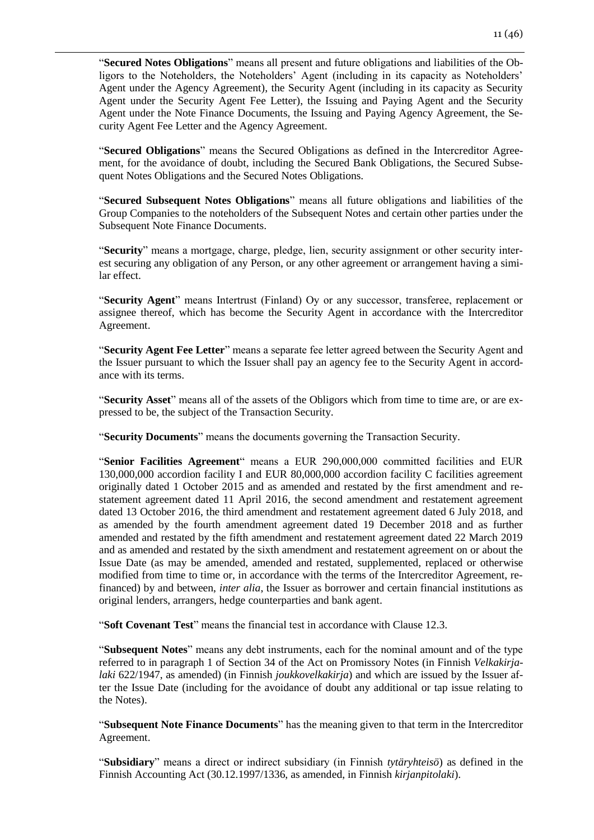"**Secured Notes Obligations**" means all present and future obligations and liabilities of the Obligors to the Noteholders, the Noteholders' Agent (including in its capacity as Noteholders' Agent under the Agency Agreement), the Security Agent (including in its capacity as Security Agent under the Security Agent Fee Letter), the Issuing and Paying Agent and the Security Agent under the Note Finance Documents, the Issuing and Paying Agency Agreement, the Security Agent Fee Letter and the Agency Agreement.

"**Secured Obligations**" means the Secured Obligations as defined in the Intercreditor Agreement, for the avoidance of doubt, including the Secured Bank Obligations, the Secured Subsequent Notes Obligations and the Secured Notes Obligations.

"**Secured Subsequent Notes Obligations**" means all future obligations and liabilities of the Group Companies to the noteholders of the Subsequent Notes and certain other parties under the Subsequent Note Finance Documents.

"**Security**" means a mortgage, charge, pledge, lien, security assignment or other security interest securing any obligation of any Person, or any other agreement or arrangement having a similar effect.

"**Security Agent**" means Intertrust (Finland) Oy or any successor, transferee, replacement or assignee thereof, which has become the Security Agent in accordance with the Intercreditor Agreement.

"**Security Agent Fee Letter**" means a separate fee letter agreed between the Security Agent and the Issuer pursuant to which the Issuer shall pay an agency fee to the Security Agent in accordance with its terms.

"**Security Asset**" means all of the assets of the Obligors which from time to time are, or are expressed to be, the subject of the Transaction Security.

"**Security Documents**" means the documents governing the Transaction Security.

"**Senior Facilities Agreement**" means a EUR 290,000,000 committed facilities and EUR 130,000,000 accordion facility I and EUR 80,000,000 accordion facility C facilities agreement originally dated 1 October 2015 and as amended and restated by the first amendment and restatement agreement dated 11 April 2016, the second amendment and restatement agreement dated 13 October 2016, the third amendment and restatement agreement dated 6 July 2018, and as amended by the fourth amendment agreement dated 19 December 2018 and as further amended and restated by the fifth amendment and restatement agreement dated 22 March 2019 and as amended and restated by the sixth amendment and restatement agreement on or about the Issue Date (as may be amended, amended and restated, supplemented, replaced or otherwise modified from time to time or, in accordance with the terms of the Intercreditor Agreement, refinanced) by and between, *inter alia*, the Issuer as borrower and certain financial institutions as original lenders, arrangers, hedge counterparties and bank agent.

"**Soft Covenant Test**" means the financial test in accordance with Clause 12.3.

"**Subsequent Notes**" means any debt instruments, each for the nominal amount and of the type referred to in paragraph 1 of Section 34 of the Act on Promissory Notes (in Finnish *Velkakirjalaki* 622/1947, as amended) (in Finnish *joukkovelkakirja*) and which are issued by the Issuer after the Issue Date (including for the avoidance of doubt any additional or tap issue relating to the Notes).

"**Subsequent Note Finance Documents**" has the meaning given to that term in the Intercreditor Agreement.

"**Subsidiary**" means a direct or indirect subsidiary (in Finnish *tytäryhteisö*) as defined in the Finnish Accounting Act (30.12.1997/1336, as amended, in Finnish *kirjanpitolaki*).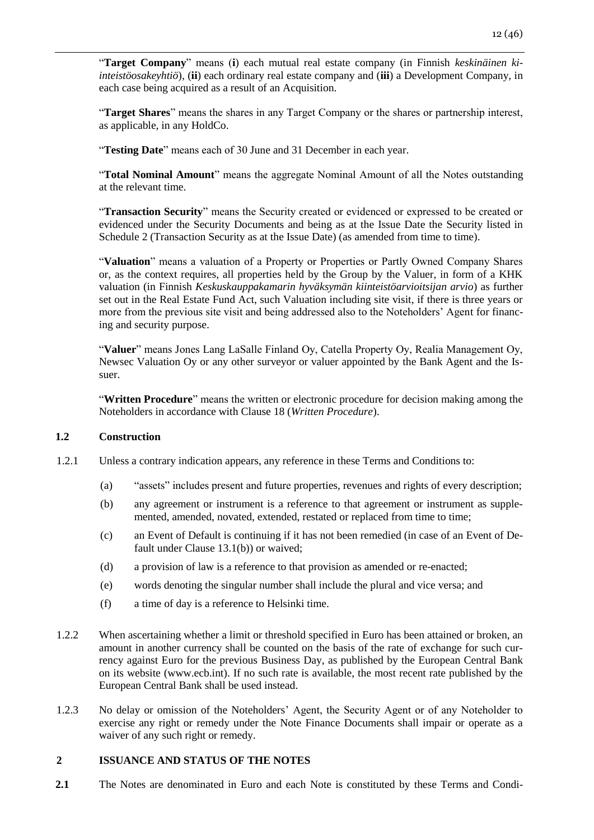"**Target Company**" means (**i**) each mutual real estate company (in Finnish *keskinäinen kiinteistöosakeyhtiö*), (**ii**) each ordinary real estate company and (**iii**) a Development Company, in each case being acquired as a result of an Acquisition.

"**Target Shares**" means the shares in any Target Company or the shares or partnership interest, as applicable, in any HoldCo.

"**Testing Date**" means each of 30 June and 31 December in each year.

"**Total Nominal Amount**" means the aggregate Nominal Amount of all the Notes outstanding at the relevant time.

"**Transaction Security**" means the Security created or evidenced or expressed to be created or evidenced under the Security Documents and being as at the Issue Date the Security listed in Schedule 2 (Transaction Security as at the Issue Date) (as amended from time to time).

"**Valuation**" means a valuation of a Property or Properties or Partly Owned Company Shares or, as the context requires, all properties held by the Group by the Valuer, in form of a KHK valuation (in Finnish *Keskuskauppakamarin hyväksymän kiinteistöarvioitsijan arvio*) as further set out in the Real Estate Fund Act, such Valuation including site visit, if there is three years or more from the previous site visit and being addressed also to the Noteholders' Agent for financing and security purpose.

"**Valuer**" means Jones Lang LaSalle Finland Oy, Catella Property Oy, Realia Management Oy, Newsec Valuation Oy or any other surveyor or valuer appointed by the Bank Agent and the Issuer.

"**Written Procedure**" means the written or electronic procedure for decision making among the Noteholders in accordance with Clause 18 (*Written Procedure*).

### **1.2 Construction**

- 1.2.1 Unless a contrary indication appears, any reference in these Terms and Conditions to:
	- (a) "assets" includes present and future properties, revenues and rights of every description;
	- (b) any agreement or instrument is a reference to that agreement or instrument as supplemented, amended, novated, extended, restated or replaced from time to time;
	- (c) an Event of Default is continuing if it has not been remedied (in case of an Event of Default under Clause 13.1(b)) or waived;
	- (d) a provision of law is a reference to that provision as amended or re-enacted;
	- (e) words denoting the singular number shall include the plural and vice versa; and
	- (f) a time of day is a reference to Helsinki time.
- 1.2.2 When ascertaining whether a limit or threshold specified in Euro has been attained or broken, an amount in another currency shall be counted on the basis of the rate of exchange for such currency against Euro for the previous Business Day, as published by the European Central Bank on its website (www.ecb.int). If no such rate is available, the most recent rate published by the European Central Bank shall be used instead.
- 1.2.3 No delay or omission of the Noteholders' Agent, the Security Agent or of any Noteholder to exercise any right or remedy under the Note Finance Documents shall impair or operate as a waiver of any such right or remedy.

# <span id="page-11-0"></span>**2 ISSUANCE AND STATUS OF THE NOTES**

**2.1** The Notes are denominated in Euro and each Note is constituted by these Terms and Condi-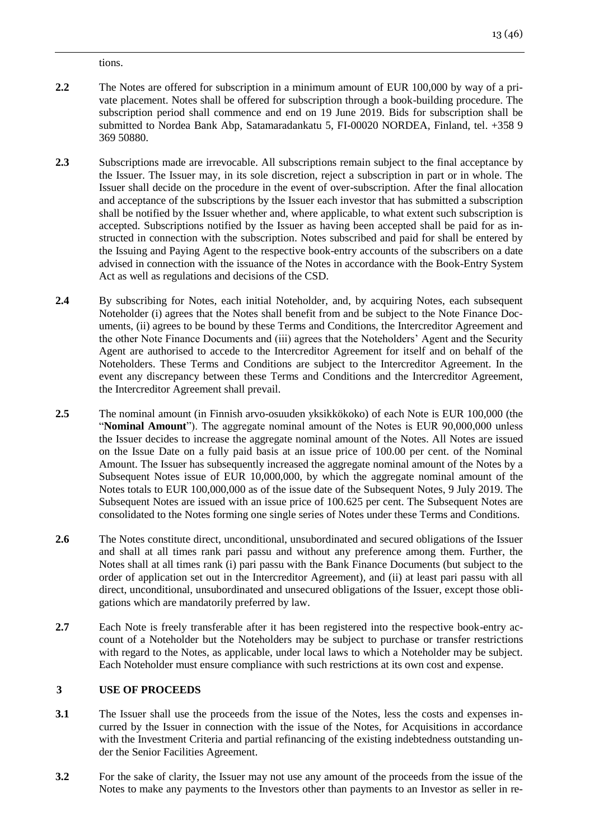tions.

- **2.2** The Notes are offered for subscription in a minimum amount of EUR 100,000 by way of a private placement. Notes shall be offered for subscription through a book-building procedure. The subscription period shall commence and end on 19 June 2019. Bids for subscription shall be submitted to Nordea Bank Abp, Satamaradankatu 5, FI-00020 NORDEA, Finland, tel. +358 9 369 50880.
- 2.3 Subscriptions made are irrevocable. All subscriptions remain subject to the final acceptance by the Issuer. The Issuer may, in its sole discretion, reject a subscription in part or in whole. The Issuer shall decide on the procedure in the event of over-subscription. After the final allocation and acceptance of the subscriptions by the Issuer each investor that has submitted a subscription shall be notified by the Issuer whether and, where applicable, to what extent such subscription is accepted. Subscriptions notified by the Issuer as having been accepted shall be paid for as instructed in connection with the subscription. Notes subscribed and paid for shall be entered by the Issuing and Paying Agent to the respective book-entry accounts of the subscribers on a date advised in connection with the issuance of the Notes in accordance with the Book-Entry System Act as well as regulations and decisions of the CSD.
- **2.4** By subscribing for Notes, each initial Noteholder, and, by acquiring Notes, each subsequent Noteholder (i) agrees that the Notes shall benefit from and be subject to the Note Finance Documents, (ii) agrees to be bound by these Terms and Conditions, the Intercreditor Agreement and the other Note Finance Documents and (iii) agrees that the Noteholders' Agent and the Security Agent are authorised to accede to the Intercreditor Agreement for itself and on behalf of the Noteholders. These Terms and Conditions are subject to the Intercreditor Agreement. In the event any discrepancy between these Terms and Conditions and the Intercreditor Agreement, the Intercreditor Agreement shall prevail.
- **2.5** The nominal amount (in Finnish arvo-osuuden yksikkökoko) of each Note is EUR 100,000 (the "**Nominal Amount**"). The aggregate nominal amount of the Notes is EUR 90,000,000 unless the Issuer decides to increase the aggregate nominal amount of the Notes. All Notes are issued on the Issue Date on a fully paid basis at an issue price of 100.00 per cent. of the Nominal Amount. The Issuer has subsequently increased the aggregate nominal amount of the Notes by a Subsequent Notes issue of EUR 10,000,000, by which the aggregate nominal amount of the Notes totals to EUR 100,000,000 as of the issue date of the Subsequent Notes, 9 July 2019. The Subsequent Notes are issued with an issue price of 100.625 per cent. The Subsequent Notes are consolidated to the Notes forming one single series of Notes under these Terms and Conditions.
- **2.6** The Notes constitute direct, unconditional, unsubordinated and secured obligations of the Issuer and shall at all times rank pari passu and without any preference among them. Further, the Notes shall at all times rank (i) pari passu with the Bank Finance Documents (but subject to the order of application set out in the Intercreditor Agreement), and (ii) at least pari passu with all direct, unconditional, unsubordinated and unsecured obligations of the Issuer, except those obligations which are mandatorily preferred by law.
- **2.7** Each Note is freely transferable after it has been registered into the respective book-entry account of a Noteholder but the Noteholders may be subject to purchase or transfer restrictions with regard to the Notes, as applicable, under local laws to which a Noteholder may be subject. Each Noteholder must ensure compliance with such restrictions at its own cost and expense.

# <span id="page-12-0"></span>**3 USE OF PROCEEDS**

- **3.1** The Issuer shall use the proceeds from the issue of the Notes, less the costs and expenses incurred by the Issuer in connection with the issue of the Notes, for Acquisitions in accordance with the Investment Criteria and partial refinancing of the existing indebtedness outstanding under the Senior Facilities Agreement.
- **3.2** For the sake of clarity, the Issuer may not use any amount of the proceeds from the issue of the Notes to make any payments to the Investors other than payments to an Investor as seller in re-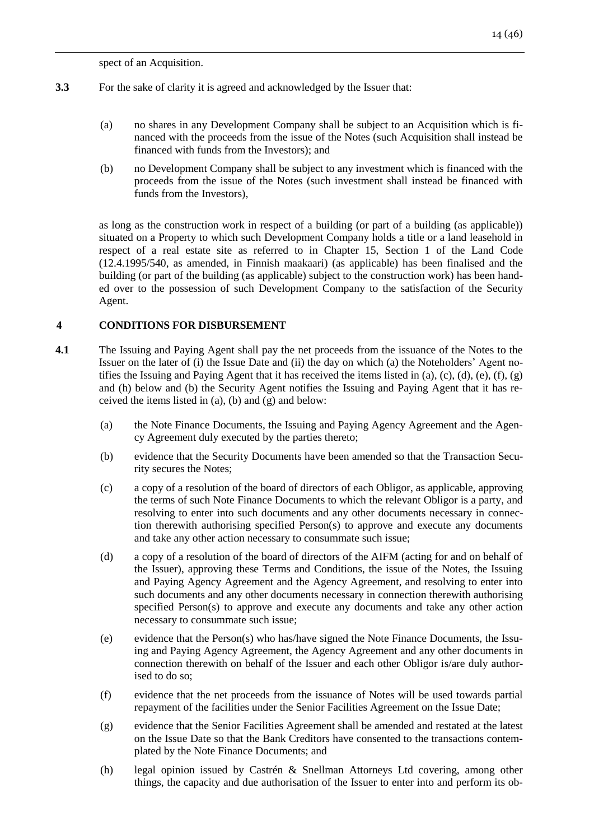spect of an Acquisition.

- **3.3** For the sake of clarity it is agreed and acknowledged by the Issuer that:
	- (a) no shares in any Development Company shall be subject to an Acquisition which is financed with the proceeds from the issue of the Notes (such Acquisition shall instead be financed with funds from the Investors); and
	- (b) no Development Company shall be subject to any investment which is financed with the proceeds from the issue of the Notes (such investment shall instead be financed with funds from the Investors),

as long as the construction work in respect of a building (or part of a building (as applicable)) situated on a Property to which such Development Company holds a title or a land leasehold in respect of a real estate site as referred to in Chapter 15, Section 1 of the Land Code (12.4.1995/540, as amended, in Finnish maakaari) (as applicable) has been finalised and the building (or part of the building (as applicable) subject to the construction work) has been handed over to the possession of such Development Company to the satisfaction of the Security Agent.

# <span id="page-13-0"></span>**4 CONDITIONS FOR DISBURSEMENT**

- **4.1** The Issuing and Paying Agent shall pay the net proceeds from the issuance of the Notes to the Issuer on the later of (i) the Issue Date and (ii) the day on which (a) the Noteholders' Agent notifies the Issuing and Paying Agent that it has received the items listed in (a), (c), (d), (e), (f), (g) and (h) below and (b) the Security Agent notifies the Issuing and Paying Agent that it has received the items listed in (a), (b) and (g) and below:
	- (a) the Note Finance Documents, the Issuing and Paying Agency Agreement and the Agency Agreement duly executed by the parties thereto;
	- (b) evidence that the Security Documents have been amended so that the Transaction Security secures the Notes;
	- (c) a copy of a resolution of the board of directors of each Obligor, as applicable, approving the terms of such Note Finance Documents to which the relevant Obligor is a party, and resolving to enter into such documents and any other documents necessary in connection therewith authorising specified Person(s) to approve and execute any documents and take any other action necessary to consummate such issue;
	- (d) a copy of a resolution of the board of directors of the AIFM (acting for and on behalf of the Issuer), approving these Terms and Conditions, the issue of the Notes, the Issuing and Paying Agency Agreement and the Agency Agreement, and resolving to enter into such documents and any other documents necessary in connection therewith authorising specified Person(s) to approve and execute any documents and take any other action necessary to consummate such issue;
	- (e) evidence that the Person(s) who has/have signed the Note Finance Documents, the Issuing and Paying Agency Agreement, the Agency Agreement and any other documents in connection therewith on behalf of the Issuer and each other Obligor is/are duly authorised to do so;
	- (f) evidence that the net proceeds from the issuance of Notes will be used towards partial repayment of the facilities under the Senior Facilities Agreement on the Issue Date;
	- (g) evidence that the Senior Facilities Agreement shall be amended and restated at the latest on the Issue Date so that the Bank Creditors have consented to the transactions contemplated by the Note Finance Documents; and
	- (h) legal opinion issued by Castrén & Snellman Attorneys Ltd covering, among other things, the capacity and due authorisation of the Issuer to enter into and perform its ob-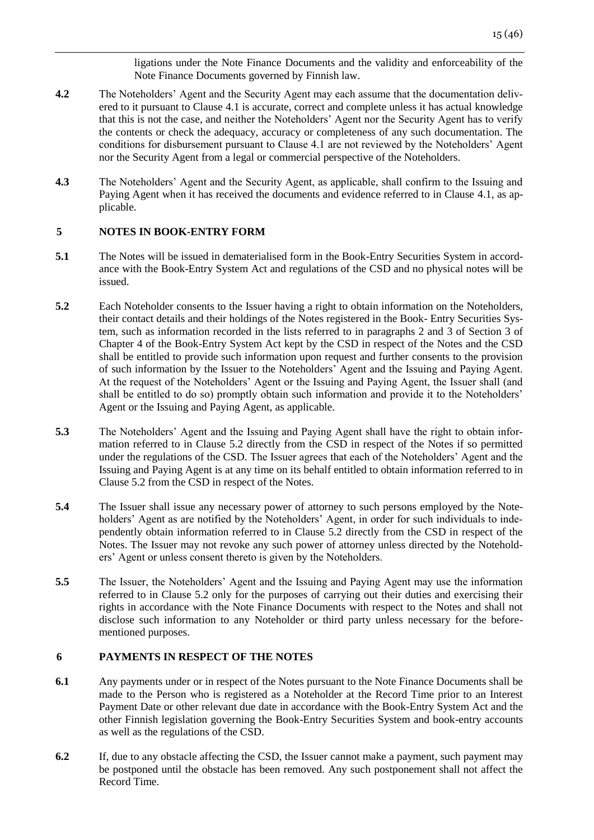ligations under the Note Finance Documents and the validity and enforceability of the Note Finance Documents governed by Finnish law.

- **4.2** The Noteholders' Agent and the Security Agent may each assume that the documentation delivered to it pursuant to Clause 4.1 is accurate, correct and complete unless it has actual knowledge that this is not the case, and neither the Noteholders' Agent nor the Security Agent has to verify the contents or check the adequacy, accuracy or completeness of any such documentation. The conditions for disbursement pursuant to Clause 4.1 are not reviewed by the Noteholders' Agent nor the Security Agent from a legal or commercial perspective of the Noteholders.
- **4.3** The Noteholders' Agent and the Security Agent, as applicable, shall confirm to the Issuing and Paying Agent when it has received the documents and evidence referred to in Clause 4.1, as applicable.

# <span id="page-14-0"></span>**5 NOTES IN BOOK-ENTRY FORM**

- **5.1** The Notes will be issued in dematerialised form in the Book-Entry Securities System in accordance with the Book-Entry System Act and regulations of the CSD and no physical notes will be issued.
- **5.2** Each Noteholder consents to the Issuer having a right to obtain information on the Noteholders, their contact details and their holdings of the Notes registered in the Book- Entry Securities System, such as information recorded in the lists referred to in paragraphs 2 and 3 of Section 3 of Chapter 4 of the Book-Entry System Act kept by the CSD in respect of the Notes and the CSD shall be entitled to provide such information upon request and further consents to the provision of such information by the Issuer to the Noteholders' Agent and the Issuing and Paying Agent. At the request of the Noteholders' Agent or the Issuing and Paying Agent, the Issuer shall (and shall be entitled to do so) promptly obtain such information and provide it to the Noteholders' Agent or the Issuing and Paying Agent, as applicable.
- **5.3** The Noteholders' Agent and the Issuing and Paying Agent shall have the right to obtain information referred to in Clause 5.2 directly from the CSD in respect of the Notes if so permitted under the regulations of the CSD. The Issuer agrees that each of the Noteholders' Agent and the Issuing and Paying Agent is at any time on its behalf entitled to obtain information referred to in Clause 5.2 from the CSD in respect of the Notes.
- **5.4** The Issuer shall issue any necessary power of attorney to such persons employed by the Noteholders' Agent as are notified by the Noteholders' Agent, in order for such individuals to independently obtain information referred to in Clause 5.2 directly from the CSD in respect of the Notes. The Issuer may not revoke any such power of attorney unless directed by the Noteholders' Agent or unless consent thereto is given by the Noteholders.
- **5.5** The Issuer, the Noteholders' Agent and the Issuing and Paying Agent may use the information referred to in Clause 5.2 only for the purposes of carrying out their duties and exercising their rights in accordance with the Note Finance Documents with respect to the Notes and shall not disclose such information to any Noteholder or third party unless necessary for the beforementioned purposes.

# <span id="page-14-1"></span>**6 PAYMENTS IN RESPECT OF THE NOTES**

- **6.1** Any payments under or in respect of the Notes pursuant to the Note Finance Documents shall be made to the Person who is registered as a Noteholder at the Record Time prior to an Interest Payment Date or other relevant due date in accordance with the Book-Entry System Act and the other Finnish legislation governing the Book-Entry Securities System and book-entry accounts as well as the regulations of the CSD.
- **6.2** If, due to any obstacle affecting the CSD, the Issuer cannot make a payment, such payment may be postponed until the obstacle has been removed. Any such postponement shall not affect the Record Time.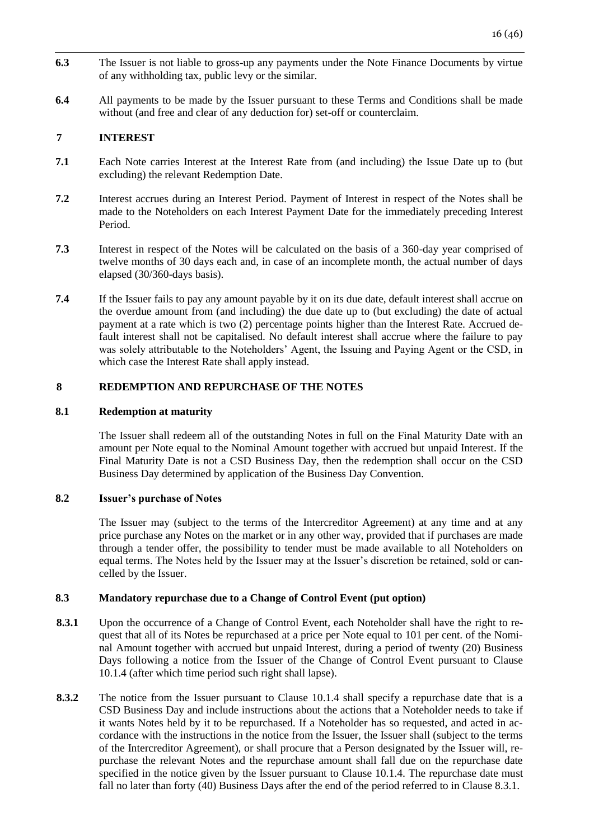- **6.3** The Issuer is not liable to gross-up any payments under the Note Finance Documents by virtue of any withholding tax, public levy or the similar.
- **6.4** All payments to be made by the Issuer pursuant to these Terms and Conditions shall be made without (and free and clear of any deduction for) set-off or counterclaim.

## <span id="page-15-0"></span>**7 INTEREST**

- **7.1** Each Note carries Interest at the Interest Rate from (and including) the Issue Date up to (but excluding) the relevant Redemption Date.
- **7.2** Interest accrues during an Interest Period. Payment of Interest in respect of the Notes shall be made to the Noteholders on each Interest Payment Date for the immediately preceding Interest Period.
- **7.3** Interest in respect of the Notes will be calculated on the basis of a 360-day year comprised of twelve months of 30 days each and, in case of an incomplete month, the actual number of days elapsed (30/360-days basis).
- **7.4** If the Issuer fails to pay any amount payable by it on its due date, default interest shall accrue on the overdue amount from (and including) the due date up to (but excluding) the date of actual payment at a rate which is two (2) percentage points higher than the Interest Rate. Accrued default interest shall not be capitalised. No default interest shall accrue where the failure to pay was solely attributable to the Noteholders' Agent, the Issuing and Paying Agent or the CSD, in which case the Interest Rate shall apply instead.

# <span id="page-15-1"></span>**8 REDEMPTION AND REPURCHASE OF THE NOTES**

### **8.1 Redemption at maturity**

The Issuer shall redeem all of the outstanding Notes in full on the Final Maturity Date with an amount per Note equal to the Nominal Amount together with accrued but unpaid Interest. If the Final Maturity Date is not a CSD Business Day, then the redemption shall occur on the CSD Business Day determined by application of the Business Day Convention.

### **8.2 Issuer's purchase of Notes**

The Issuer may (subject to the terms of the Intercreditor Agreement) at any time and at any price purchase any Notes on the market or in any other way, provided that if purchases are made through a tender offer, the possibility to tender must be made available to all Noteholders on equal terms. The Notes held by the Issuer may at the Issuer's discretion be retained, sold or cancelled by the Issuer.

## **8.3 Mandatory repurchase due to a Change of Control Event (put option)**

- 8.3.1 Upon the occurrence of a Change of Control Event, each Noteholder shall have the right to request that all of its Notes be repurchased at a price per Note equal to 101 per cent. of the Nominal Amount together with accrued but unpaid Interest, during a period of twenty (20) Business Days following a notice from the Issuer of the Change of Control Event pursuant to Clause 10.1.4 (after which time period such right shall lapse).
- **8.3.2** The notice from the Issuer pursuant to Clause 10.1.4 shall specify a repurchase date that is a CSD Business Day and include instructions about the actions that a Noteholder needs to take if it wants Notes held by it to be repurchased. If a Noteholder has so requested, and acted in accordance with the instructions in the notice from the Issuer, the Issuer shall (subject to the terms of the Intercreditor Agreement), or shall procure that a Person designated by the Issuer will, repurchase the relevant Notes and the repurchase amount shall fall due on the repurchase date specified in the notice given by the Issuer pursuant to Clause 10.1.4. The repurchase date must fall no later than forty (40) Business Days after the end of the period referred to in Clause 8.3.1.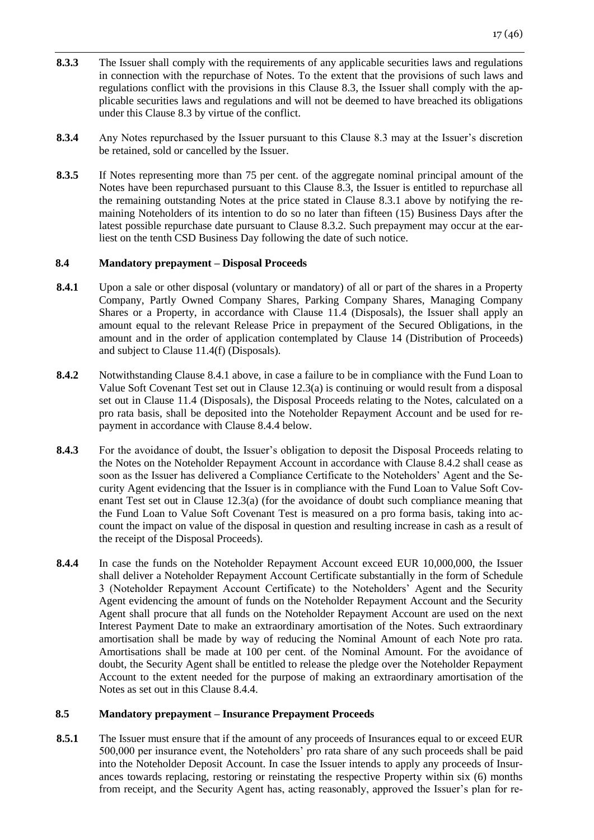- **8.3.3** The Issuer shall comply with the requirements of any applicable securities laws and regulations in connection with the repurchase of Notes. To the extent that the provisions of such laws and regulations conflict with the provisions in this Clause 8.3, the Issuer shall comply with the applicable securities laws and regulations and will not be deemed to have breached its obligations under this Clause 8.3 by virtue of the conflict.
- **8.3.4** Any Notes repurchased by the Issuer pursuant to this Clause 8.3 may at the Issuer's discretion be retained, sold or cancelled by the Issuer.
- **8.3.5** If Notes representing more than 75 per cent. of the aggregate nominal principal amount of the Notes have been repurchased pursuant to this Clause 8.3, the Issuer is entitled to repurchase all the remaining outstanding Notes at the price stated in Clause 8.3.1 above by notifying the remaining Noteholders of its intention to do so no later than fifteen (15) Business Days after the latest possible repurchase date pursuant to Clause 8.3.2. Such prepayment may occur at the earliest on the tenth CSD Business Day following the date of such notice.

# **8.4 Mandatory prepayment – Disposal Proceeds**

- **8.4.1** Upon a sale or other disposal (voluntary or mandatory) of all or part of the shares in a Property Company, Partly Owned Company Shares, Parking Company Shares, Managing Company Shares or a Property, in accordance with Clause 11.4 (Disposals), the Issuer shall apply an amount equal to the relevant Release Price in prepayment of the Secured Obligations, in the amount and in the order of application contemplated by Clause 14 (Distribution of Proceeds) and subject to Clause 11.4(f) (Disposals).
- **8.4.2** Notwithstanding Clause 8.4.1 above, in case a failure to be in compliance with the Fund Loan to Value Soft Covenant Test set out in Clause 12.3(a) is continuing or would result from a disposal set out in Clause 11.4 (Disposals), the Disposal Proceeds relating to the Notes, calculated on a pro rata basis, shall be deposited into the Noteholder Repayment Account and be used for repayment in accordance with Clause 8.4.4 below.
- **8.4.3** For the avoidance of doubt, the Issuer's obligation to deposit the Disposal Proceeds relating to the Notes on the Noteholder Repayment Account in accordance with Clause 8.4.2 shall cease as soon as the Issuer has delivered a Compliance Certificate to the Noteholders' Agent and the Security Agent evidencing that the Issuer is in compliance with the Fund Loan to Value Soft Covenant Test set out in Clause 12.3(a) (for the avoidance of doubt such compliance meaning that the Fund Loan to Value Soft Covenant Test is measured on a pro forma basis, taking into account the impact on value of the disposal in question and resulting increase in cash as a result of the receipt of the Disposal Proceeds).
- **8.4.4** In case the funds on the Noteholder Repayment Account exceed EUR 10,000,000, the Issuer shall deliver a Noteholder Repayment Account Certificate substantially in the form of Schedule 3 (Noteholder Repayment Account Certificate) to the Noteholders' Agent and the Security Agent evidencing the amount of funds on the Noteholder Repayment Account and the Security Agent shall procure that all funds on the Noteholder Repayment Account are used on the next Interest Payment Date to make an extraordinary amortisation of the Notes. Such extraordinary amortisation shall be made by way of reducing the Nominal Amount of each Note pro rata. Amortisations shall be made at 100 per cent. of the Nominal Amount. For the avoidance of doubt, the Security Agent shall be entitled to release the pledge over the Noteholder Repayment Account to the extent needed for the purpose of making an extraordinary amortisation of the Notes as set out in this Clause 8.4.4.

# **8.5 Mandatory prepayment – Insurance Prepayment Proceeds**

**8.5.1** The Issuer must ensure that if the amount of any proceeds of Insurances equal to or exceed EUR 500,000 per insurance event, the Noteholders' pro rata share of any such proceeds shall be paid into the Noteholder Deposit Account. In case the Issuer intends to apply any proceeds of Insurances towards replacing, restoring or reinstating the respective Property within six (6) months from receipt, and the Security Agent has, acting reasonably, approved the Issuer's plan for re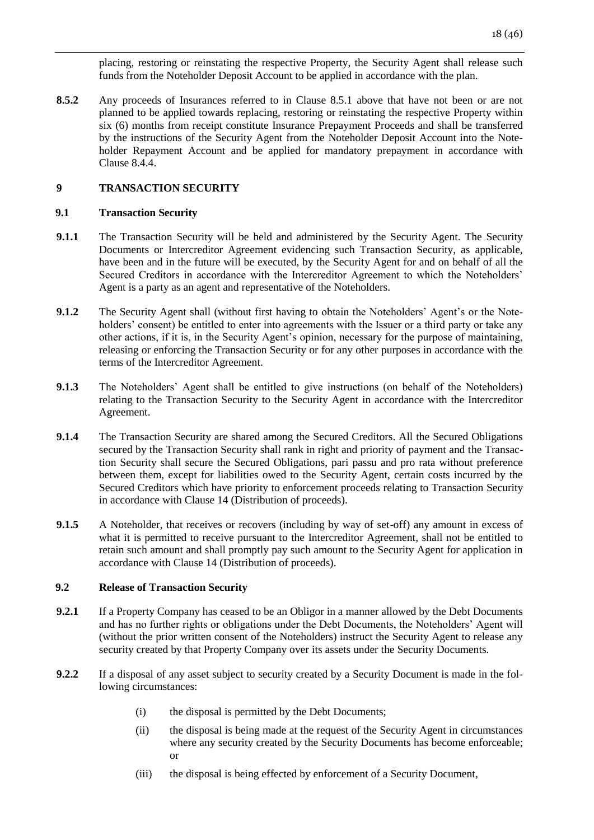placing, restoring or reinstating the respective Property, the Security Agent shall release such funds from the Noteholder Deposit Account to be applied in accordance with the plan.

**8.5.2** Any proceeds of Insurances referred to in Clause 8.5.1 above that have not been or are not planned to be applied towards replacing, restoring or reinstating the respective Property within six (6) months from receipt constitute Insurance Prepayment Proceeds and shall be transferred by the instructions of the Security Agent from the Noteholder Deposit Account into the Noteholder Repayment Account and be applied for mandatory prepayment in accordance with Clause 8.4.4.

# <span id="page-17-0"></span>**9 TRANSACTION SECURITY**

### **9.1 Transaction Security**

- **9.1.1** The Transaction Security will be held and administered by the Security Agent. The Security Documents or Intercreditor Agreement evidencing such Transaction Security, as applicable, have been and in the future will be executed, by the Security Agent for and on behalf of all the Secured Creditors in accordance with the Intercreditor Agreement to which the Noteholders' Agent is a party as an agent and representative of the Noteholders.
- **9.1.2** The Security Agent shall (without first having to obtain the Noteholders' Agent's or the Noteholders' consent) be entitled to enter into agreements with the Issuer or a third party or take any other actions, if it is, in the Security Agent's opinion, necessary for the purpose of maintaining, releasing or enforcing the Transaction Security or for any other purposes in accordance with the terms of the Intercreditor Agreement.
- **9.1.3** The Noteholders' Agent shall be entitled to give instructions (on behalf of the Noteholders) relating to the Transaction Security to the Security Agent in accordance with the Intercreditor Agreement.
- **9.1.4** The Transaction Security are shared among the Secured Creditors. All the Secured Obligations secured by the Transaction Security shall rank in right and priority of payment and the Transaction Security shall secure the Secured Obligations, pari passu and pro rata without preference between them, except for liabilities owed to the Security Agent, certain costs incurred by the Secured Creditors which have priority to enforcement proceeds relating to Transaction Security in accordance with Clause 14 (Distribution of proceeds).
- **9.1.5** A Noteholder, that receives or recovers (including by way of set-off) any amount in excess of what it is permitted to receive pursuant to the Intercreditor Agreement, shall not be entitled to retain such amount and shall promptly pay such amount to the Security Agent for application in accordance with Clause 14 (Distribution of proceeds).

# **9.2 Release of Transaction Security**

- **9.2.1** If a Property Company has ceased to be an Obligor in a manner allowed by the Debt Documents and has no further rights or obligations under the Debt Documents, the Noteholders' Agent will (without the prior written consent of the Noteholders) instruct the Security Agent to release any security created by that Property Company over its assets under the Security Documents.
- **9.2.2** If a disposal of any asset subject to security created by a Security Document is made in the following circumstances:
	- (i) the disposal is permitted by the Debt Documents;
	- (ii) the disposal is being made at the request of the Security Agent in circumstances where any security created by the Security Documents has become enforceable; or
	- (iii) the disposal is being effected by enforcement of a Security Document,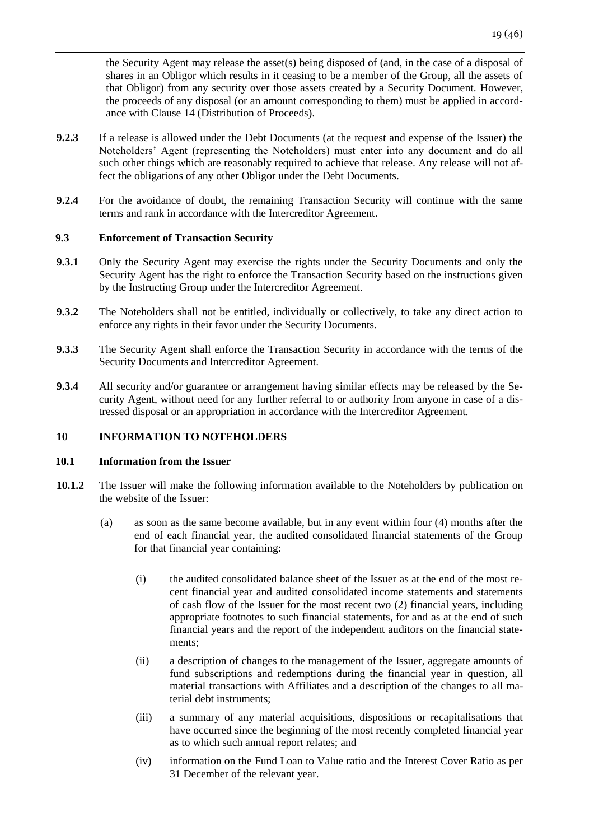the Security Agent may release the asset(s) being disposed of (and, in the case of a disposal of shares in an Obligor which results in it ceasing to be a member of the Group, all the assets of that Obligor) from any security over those assets created by a Security Document. However, the proceeds of any disposal (or an amount corresponding to them) must be applied in accordance with Clause 14 (Distribution of Proceeds).

- **9.2.3** If a release is allowed under the Debt Documents (at the request and expense of the Issuer) the Noteholders' Agent (representing the Noteholders) must enter into any document and do all such other things which are reasonably required to achieve that release. Any release will not affect the obligations of any other Obligor under the Debt Documents.
- **9.2.4** For the avoidance of doubt, the remaining Transaction Security will continue with the same terms and rank in accordance with the Intercreditor Agreement**.**

#### **9.3 Enforcement of Transaction Security**

- **9.3.1** Only the Security Agent may exercise the rights under the Security Documents and only the Security Agent has the right to enforce the Transaction Security based on the instructions given by the Instructing Group under the Intercreditor Agreement.
- **9.3.2** The Noteholders shall not be entitled, individually or collectively, to take any direct action to enforce any rights in their favor under the Security Documents.
- **9.3.3** The Security Agent shall enforce the Transaction Security in accordance with the terms of the Security Documents and Intercreditor Agreement.
- **9.3.4** All security and/or guarantee or arrangement having similar effects may be released by the Security Agent, without need for any further referral to or authority from anyone in case of a distressed disposal or an appropriation in accordance with the Intercreditor Agreement.

## <span id="page-18-0"></span>**10 INFORMATION TO NOTEHOLDERS**

#### **10.1 Information from the Issuer**

- **10.1.2** The Issuer will make the following information available to the Noteholders by publication on the website of the Issuer:
	- (a) as soon as the same become available, but in any event within four (4) months after the end of each financial year, the audited consolidated financial statements of the Group for that financial year containing:
		- (i) the audited consolidated balance sheet of the Issuer as at the end of the most recent financial year and audited consolidated income statements and statements of cash flow of the Issuer for the most recent two (2) financial years, including appropriate footnotes to such financial statements, for and as at the end of such financial years and the report of the independent auditors on the financial statements;
		- (ii) a description of changes to the management of the Issuer, aggregate amounts of fund subscriptions and redemptions during the financial year in question, all material transactions with Affiliates and a description of the changes to all material debt instruments;
		- (iii) a summary of any material acquisitions, dispositions or recapitalisations that have occurred since the beginning of the most recently completed financial year as to which such annual report relates; and
		- (iv) information on the Fund Loan to Value ratio and the Interest Cover Ratio as per 31 December of the relevant year.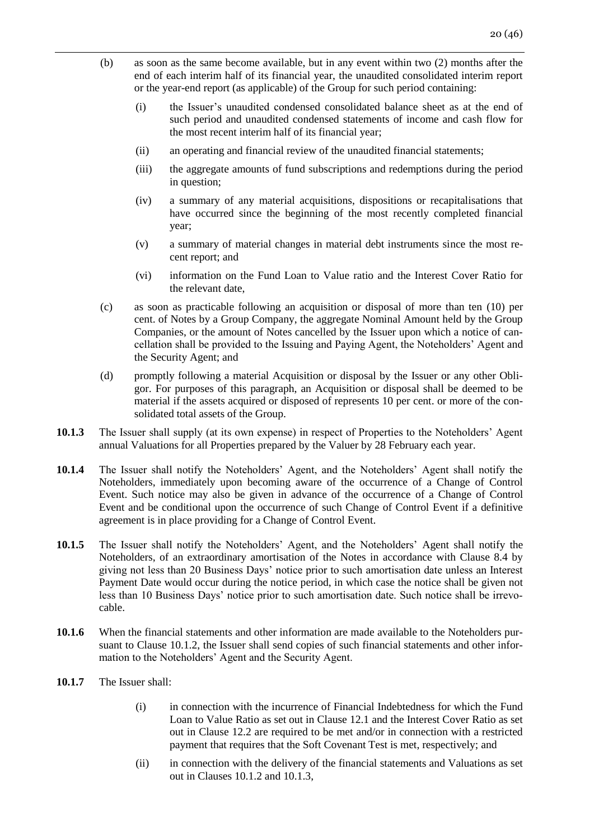- (b) as soon as the same become available, but in any event within two (2) months after the end of each interim half of its financial year, the unaudited consolidated interim report or the year-end report (as applicable) of the Group for such period containing:
	- (i) the Issuer's unaudited condensed consolidated balance sheet as at the end of such period and unaudited condensed statements of income and cash flow for the most recent interim half of its financial year;
	- (ii) an operating and financial review of the unaudited financial statements;
	- (iii) the aggregate amounts of fund subscriptions and redemptions during the period in question;
	- (iv) a summary of any material acquisitions, dispositions or recapitalisations that have occurred since the beginning of the most recently completed financial year;
	- (v) a summary of material changes in material debt instruments since the most recent report; and
	- (vi) information on the Fund Loan to Value ratio and the Interest Cover Ratio for the relevant date,
- (c) as soon as practicable following an acquisition or disposal of more than ten (10) per cent. of Notes by a Group Company, the aggregate Nominal Amount held by the Group Companies, or the amount of Notes cancelled by the Issuer upon which a notice of cancellation shall be provided to the Issuing and Paying Agent, the Noteholders' Agent and the Security Agent; and
- (d) promptly following a material Acquisition or disposal by the Issuer or any other Obligor. For purposes of this paragraph, an Acquisition or disposal shall be deemed to be material if the assets acquired or disposed of represents 10 per cent. or more of the consolidated total assets of the Group.
- **10.1.3** The Issuer shall supply (at its own expense) in respect of Properties to the Noteholders' Agent annual Valuations for all Properties prepared by the Valuer by 28 February each year.
- **10.1.4** The Issuer shall notify the Noteholders' Agent, and the Noteholders' Agent shall notify the Noteholders, immediately upon becoming aware of the occurrence of a Change of Control Event. Such notice may also be given in advance of the occurrence of a Change of Control Event and be conditional upon the occurrence of such Change of Control Event if a definitive agreement is in place providing for a Change of Control Event.
- **10.1.5** The Issuer shall notify the Noteholders' Agent, and the Noteholders' Agent shall notify the Noteholders, of an extraordinary amortisation of the Notes in accordance with Clause 8.4 by giving not less than 20 Business Days' notice prior to such amortisation date unless an Interest Payment Date would occur during the notice period, in which case the notice shall be given not less than 10 Business Days' notice prior to such amortisation date. Such notice shall be irrevocable.
- **10.1.6** When the financial statements and other information are made available to the Noteholders pursuant to Clause 10.1.2, the Issuer shall send copies of such financial statements and other information to the Noteholders' Agent and the Security Agent.
- **10.1.7** The Issuer shall:
	- (i) in connection with the incurrence of Financial Indebtedness for which the Fund Loan to Value Ratio as set out in Clause 12.1 and the Interest Cover Ratio as set out in Clause 12.2 are required to be met and/or in connection with a restricted payment that requires that the Soft Covenant Test is met, respectively; and
	- (ii) in connection with the delivery of the financial statements and Valuations as set out in Clauses 10.1.2 and 10.1.3,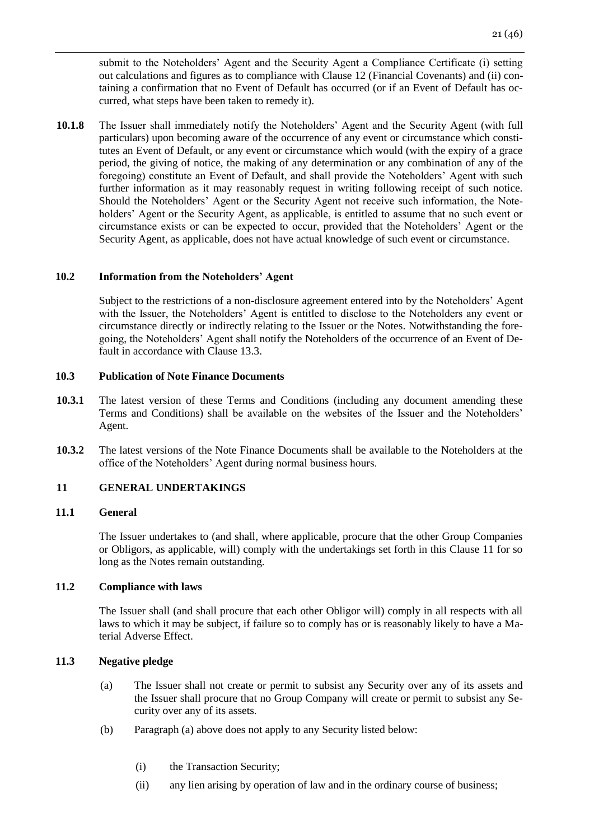submit to the Noteholders' Agent and the Security Agent a Compliance Certificate (i) setting out calculations and figures as to compliance with Clause 12 (Financial Covenants) and (ii) containing a confirmation that no Event of Default has occurred (or if an Event of Default has occurred, what steps have been taken to remedy it).

**10.1.8** The Issuer shall immediately notify the Noteholders' Agent and the Security Agent (with full particulars) upon becoming aware of the occurrence of any event or circumstance which constitutes an Event of Default, or any event or circumstance which would (with the expiry of a grace period, the giving of notice, the making of any determination or any combination of any of the foregoing) constitute an Event of Default, and shall provide the Noteholders' Agent with such further information as it may reasonably request in writing following receipt of such notice. Should the Noteholders' Agent or the Security Agent not receive such information, the Noteholders' Agent or the Security Agent, as applicable, is entitled to assume that no such event or circumstance exists or can be expected to occur, provided that the Noteholders' Agent or the Security Agent, as applicable, does not have actual knowledge of such event or circumstance.

### **10.2 Information from the Noteholders' Agent**

Subject to the restrictions of a non-disclosure agreement entered into by the Noteholders' Agent with the Issuer, the Noteholders' Agent is entitled to disclose to the Noteholders any event or circumstance directly or indirectly relating to the Issuer or the Notes. Notwithstanding the foregoing, the Noteholders' Agent shall notify the Noteholders of the occurrence of an Event of Default in accordance with Clause 13.3.

#### **10.3 Publication of Note Finance Documents**

- **10.3.1** The latest version of these Terms and Conditions (including any document amending these Terms and Conditions) shall be available on the websites of the Issuer and the Noteholders' Agent.
- **10.3.2** The latest versions of the Note Finance Documents shall be available to the Noteholders at the office of the Noteholders' Agent during normal business hours.

#### <span id="page-20-0"></span>**11 GENERAL UNDERTAKINGS**

#### **11.1 General**

The Issuer undertakes to (and shall, where applicable, procure that the other Group Companies or Obligors, as applicable, will) comply with the undertakings set forth in this Clause 11 for so long as the Notes remain outstanding.

### **11.2 Compliance with laws**

The Issuer shall (and shall procure that each other Obligor will) comply in all respects with all laws to which it may be subject, if failure so to comply has or is reasonably likely to have a Material Adverse Effect.

#### **11.3 Negative pledge**

- (a) The Issuer shall not create or permit to subsist any Security over any of its assets and the Issuer shall procure that no Group Company will create or permit to subsist any Security over any of its assets.
- (b) Paragraph (a) above does not apply to any Security listed below:
	- (i) the Transaction Security;
	- (ii) any lien arising by operation of law and in the ordinary course of business;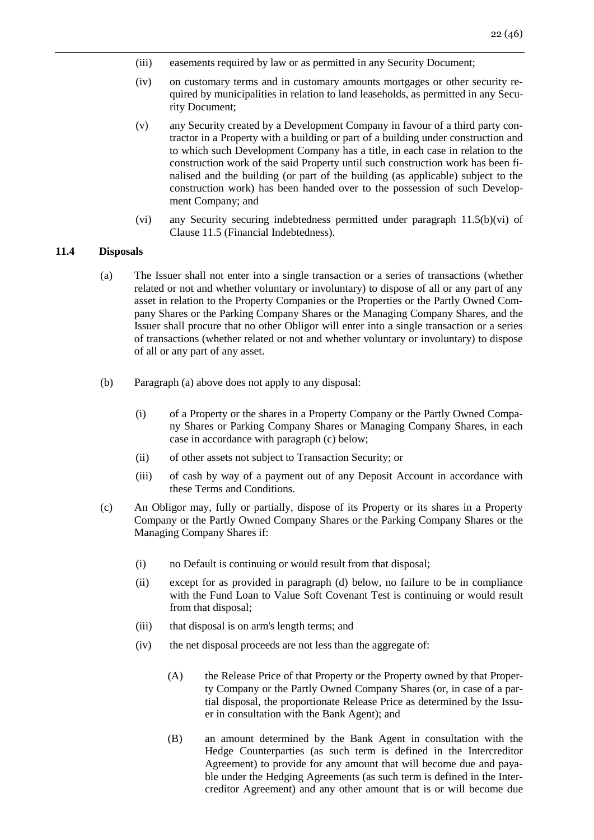- (iii) easements required by law or as permitted in any Security Document;
- (iv) on customary terms and in customary amounts mortgages or other security required by municipalities in relation to land leaseholds, as permitted in any Security Document;
- (v) any Security created by a Development Company in favour of a third party contractor in a Property with a building or part of a building under construction and to which such Development Company has a title, in each case in relation to the construction work of the said Property until such construction work has been finalised and the building (or part of the building (as applicable) subject to the construction work) has been handed over to the possession of such Development Company; and
- (vi) any Security securing indebtedness permitted under paragraph 11.5(b)(vi) of Clause 11.5 (Financial Indebtedness).

#### **11.4 Disposals**

- (a) The Issuer shall not enter into a single transaction or a series of transactions (whether related or not and whether voluntary or involuntary) to dispose of all or any part of any asset in relation to the Property Companies or the Properties or the Partly Owned Company Shares or the Parking Company Shares or the Managing Company Shares, and the Issuer shall procure that no other Obligor will enter into a single transaction or a series of transactions (whether related or not and whether voluntary or involuntary) to dispose of all or any part of any asset.
- (b) Paragraph (a) above does not apply to any disposal:
	- (i) of a Property or the shares in a Property Company or the Partly Owned Company Shares or Parking Company Shares or Managing Company Shares, in each case in accordance with paragraph (c) below;
	- (ii) of other assets not subject to Transaction Security; or
	- (iii) of cash by way of a payment out of any Deposit Account in accordance with these Terms and Conditions.
- (c) An Obligor may, fully or partially, dispose of its Property or its shares in a Property Company or the Partly Owned Company Shares or the Parking Company Shares or the Managing Company Shares if:
	- (i) no Default is continuing or would result from that disposal;
	- (ii) except for as provided in paragraph (d) below, no failure to be in compliance with the Fund Loan to Value Soft Covenant Test is continuing or would result from that disposal;
	- (iii) that disposal is on arm's length terms; and
	- (iv) the net disposal proceeds are not less than the aggregate of:
		- (A) the Release Price of that Property or the Property owned by that Property Company or the Partly Owned Company Shares (or, in case of a partial disposal, the proportionate Release Price as determined by the Issuer in consultation with the Bank Agent); and
		- (B) an amount determined by the Bank Agent in consultation with the Hedge Counterparties (as such term is defined in the Intercreditor Agreement) to provide for any amount that will become due and payable under the Hedging Agreements (as such term is defined in the Intercreditor Agreement) and any other amount that is or will become due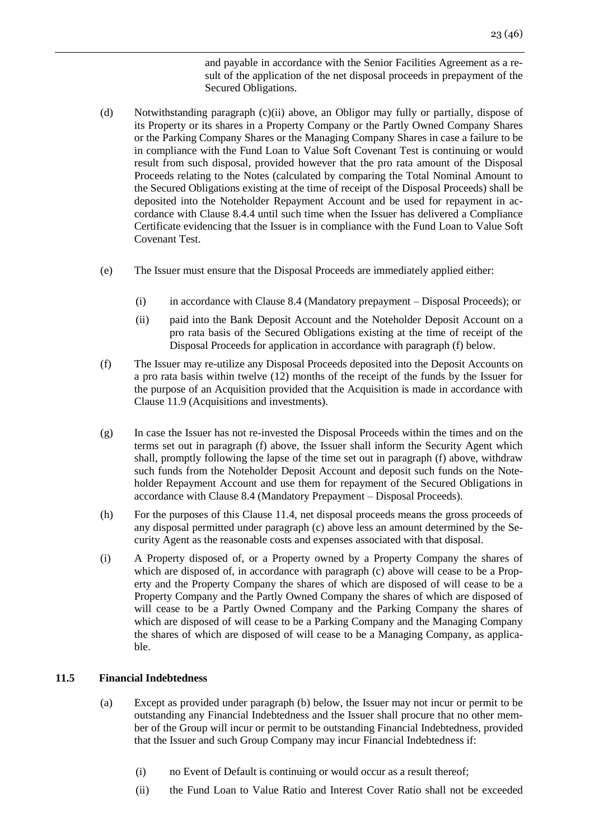and payable in accordance with the Senior Facilities Agreement as a result of the application of the net disposal proceeds in prepayment of the Secured Obligations.

- (d) Notwithstanding paragraph (c)(ii) above, an Obligor may fully or partially, dispose of its Property or its shares in a Property Company or the Partly Owned Company Shares or the Parking Company Shares or the Managing Company Shares in case a failure to be in compliance with the Fund Loan to Value Soft Covenant Test is continuing or would result from such disposal, provided however that the pro rata amount of the Disposal Proceeds relating to the Notes (calculated by comparing the Total Nominal Amount to the Secured Obligations existing at the time of receipt of the Disposal Proceeds) shall be deposited into the Noteholder Repayment Account and be used for repayment in accordance with Clause 8.4.4 until such time when the Issuer has delivered a Compliance Certificate evidencing that the Issuer is in compliance with the Fund Loan to Value Soft Covenant Test.
- (e) The Issuer must ensure that the Disposal Proceeds are immediately applied either:
	- (i) in accordance with Clause 8.4 (Mandatory prepayment Disposal Proceeds); or
	- (ii) paid into the Bank Deposit Account and the Noteholder Deposit Account on a pro rata basis of the Secured Obligations existing at the time of receipt of the Disposal Proceeds for application in accordance with paragraph (f) below.
- (f) The Issuer may re-utilize any Disposal Proceeds deposited into the Deposit Accounts on a pro rata basis within twelve (12) months of the receipt of the funds by the Issuer for the purpose of an Acquisition provided that the Acquisition is made in accordance with Clause 11.9 (Acquisitions and investments).
- (g) In case the Issuer has not re-invested the Disposal Proceeds within the times and on the terms set out in paragraph (f) above, the Issuer shall inform the Security Agent which shall, promptly following the lapse of the time set out in paragraph (f) above, withdraw such funds from the Noteholder Deposit Account and deposit such funds on the Noteholder Repayment Account and use them for repayment of the Secured Obligations in accordance with Clause 8.4 (Mandatory Prepayment – Disposal Proceeds).
- (h) For the purposes of this Clause 11.4, net disposal proceeds means the gross proceeds of any disposal permitted under paragraph (c) above less an amount determined by the Security Agent as the reasonable costs and expenses associated with that disposal.
- (i) A Property disposed of, or a Property owned by a Property Company the shares of which are disposed of, in accordance with paragraph (c) above will cease to be a Property and the Property Company the shares of which are disposed of will cease to be a Property Company and the Partly Owned Company the shares of which are disposed of will cease to be a Partly Owned Company and the Parking Company the shares of which are disposed of will cease to be a Parking Company and the Managing Company the shares of which are disposed of will cease to be a Managing Company, as applicable.

## **11.5 Financial Indebtedness**

- (a) Except as provided under paragraph (b) below, the Issuer may not incur or permit to be outstanding any Financial Indebtedness and the Issuer shall procure that no other member of the Group will incur or permit to be outstanding Financial Indebtedness, provided that the Issuer and such Group Company may incur Financial Indebtedness if:
	- (i) no Event of Default is continuing or would occur as a result thereof;
	- (ii) the Fund Loan to Value Ratio and Interest Cover Ratio shall not be exceeded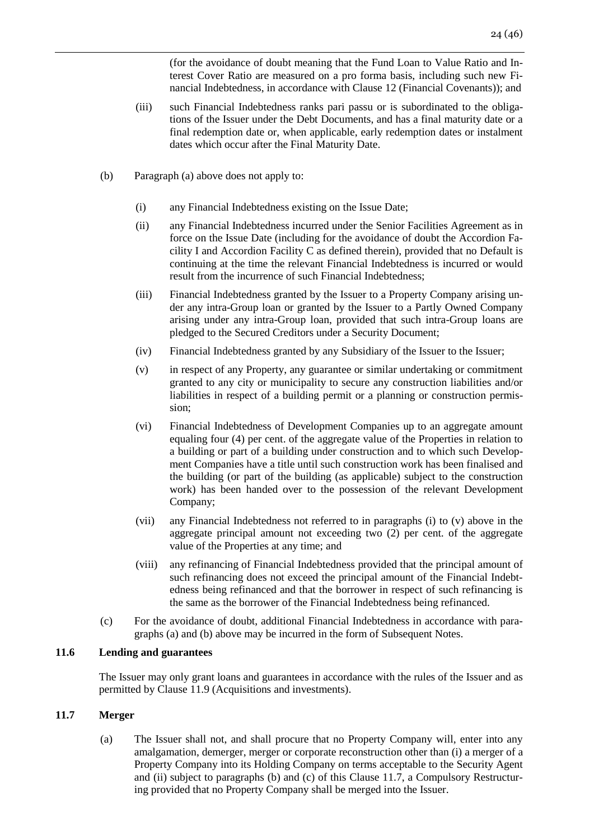(for the avoidance of doubt meaning that the Fund Loan to Value Ratio and Interest Cover Ratio are measured on a pro forma basis, including such new Financial Indebtedness, in accordance with Clause 12 (Financial Covenants)); and

- (iii) such Financial Indebtedness ranks pari passu or is subordinated to the obligations of the Issuer under the Debt Documents, and has a final maturity date or a final redemption date or, when applicable, early redemption dates or instalment dates which occur after the Final Maturity Date.
- (b) Paragraph (a) above does not apply to:
	- (i) any Financial Indebtedness existing on the Issue Date;
	- (ii) any Financial Indebtedness incurred under the Senior Facilities Agreement as in force on the Issue Date (including for the avoidance of doubt the Accordion Facility I and Accordion Facility C as defined therein), provided that no Default is continuing at the time the relevant Financial Indebtedness is incurred or would result from the incurrence of such Financial Indebtedness;
	- (iii) Financial Indebtedness granted by the Issuer to a Property Company arising under any intra-Group loan or granted by the Issuer to a Partly Owned Company arising under any intra-Group loan, provided that such intra-Group loans are pledged to the Secured Creditors under a Security Document;
	- (iv) Financial Indebtedness granted by any Subsidiary of the Issuer to the Issuer;
	- (v) in respect of any Property, any guarantee or similar undertaking or commitment granted to any city or municipality to secure any construction liabilities and/or liabilities in respect of a building permit or a planning or construction permission;
	- (vi) Financial Indebtedness of Development Companies up to an aggregate amount equaling four (4) per cent. of the aggregate value of the Properties in relation to a building or part of a building under construction and to which such Development Companies have a title until such construction work has been finalised and the building (or part of the building (as applicable) subject to the construction work) has been handed over to the possession of the relevant Development Company;
	- (vii) any Financial Indebtedness not referred to in paragraphs (i) to (v) above in the aggregate principal amount not exceeding two (2) per cent. of the aggregate value of the Properties at any time; and
	- (viii) any refinancing of Financial Indebtedness provided that the principal amount of such refinancing does not exceed the principal amount of the Financial Indebtedness being refinanced and that the borrower in respect of such refinancing is the same as the borrower of the Financial Indebtedness being refinanced.
- (c) For the avoidance of doubt, additional Financial Indebtedness in accordance with paragraphs (a) and (b) above may be incurred in the form of Subsequent Notes.

#### **11.6 Lending and guarantees**

The Issuer may only grant loans and guarantees in accordance with the rules of the Issuer and as permitted by Clause 11.9 (Acquisitions and investments).

### **11.7 Merger**

(a) The Issuer shall not, and shall procure that no Property Company will, enter into any amalgamation, demerger, merger or corporate reconstruction other than (i) a merger of a Property Company into its Holding Company on terms acceptable to the Security Agent and (ii) subject to paragraphs (b) and (c) of this Clause 11.7, a Compulsory Restructuring provided that no Property Company shall be merged into the Issuer.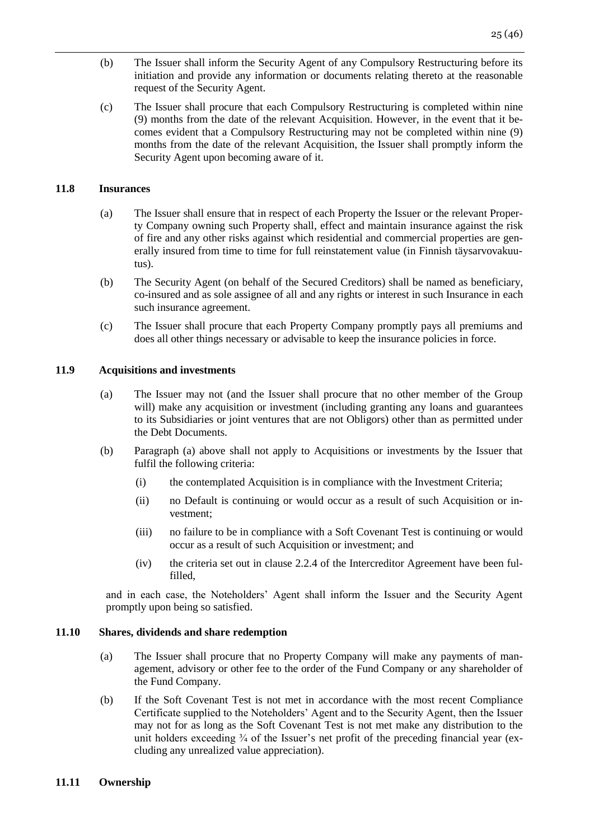- (b) The Issuer shall inform the Security Agent of any Compulsory Restructuring before its initiation and provide any information or documents relating thereto at the reasonable request of the Security Agent.
- (c) The Issuer shall procure that each Compulsory Restructuring is completed within nine (9) months from the date of the relevant Acquisition. However, in the event that it becomes evident that a Compulsory Restructuring may not be completed within nine (9) months from the date of the relevant Acquisition, the Issuer shall promptly inform the Security Agent upon becoming aware of it.

#### **11.8 Insurances**

- (a) The Issuer shall ensure that in respect of each Property the Issuer or the relevant Property Company owning such Property shall, effect and maintain insurance against the risk of fire and any other risks against which residential and commercial properties are generally insured from time to time for full reinstatement value (in Finnish täysarvovakuutus).
- (b) The Security Agent (on behalf of the Secured Creditors) shall be named as beneficiary, co-insured and as sole assignee of all and any rights or interest in such Insurance in each such insurance agreement.
- (c) The Issuer shall procure that each Property Company promptly pays all premiums and does all other things necessary or advisable to keep the insurance policies in force.

#### **11.9 Acquisitions and investments**

- (a) The Issuer may not (and the Issuer shall procure that no other member of the Group will) make any acquisition or investment (including granting any loans and guarantees to its Subsidiaries or joint ventures that are not Obligors) other than as permitted under the Debt Documents.
- (b) Paragraph (a) above shall not apply to Acquisitions or investments by the Issuer that fulfil the following criteria:
	- (i) the contemplated Acquisition is in compliance with the Investment Criteria;
	- (ii) no Default is continuing or would occur as a result of such Acquisition or investment;
	- (iii) no failure to be in compliance with a Soft Covenant Test is continuing or would occur as a result of such Acquisition or investment; and
	- (iv) the criteria set out in clause 2.2.4 of the Intercreditor Agreement have been fulfilled,

and in each case, the Noteholders' Agent shall inform the Issuer and the Security Agent promptly upon being so satisfied.

### **11.10 Shares, dividends and share redemption**

- (a) The Issuer shall procure that no Property Company will make any payments of management, advisory or other fee to the order of the Fund Company or any shareholder of the Fund Company.
- (b) If the Soft Covenant Test is not met in accordance with the most recent Compliance Certificate supplied to the Noteholders' Agent and to the Security Agent, then the Issuer may not for as long as the Soft Covenant Test is not met make any distribution to the unit holders exceeding  $\frac{3}{4}$  of the Issuer's net profit of the preceding financial year (excluding any unrealized value appreciation).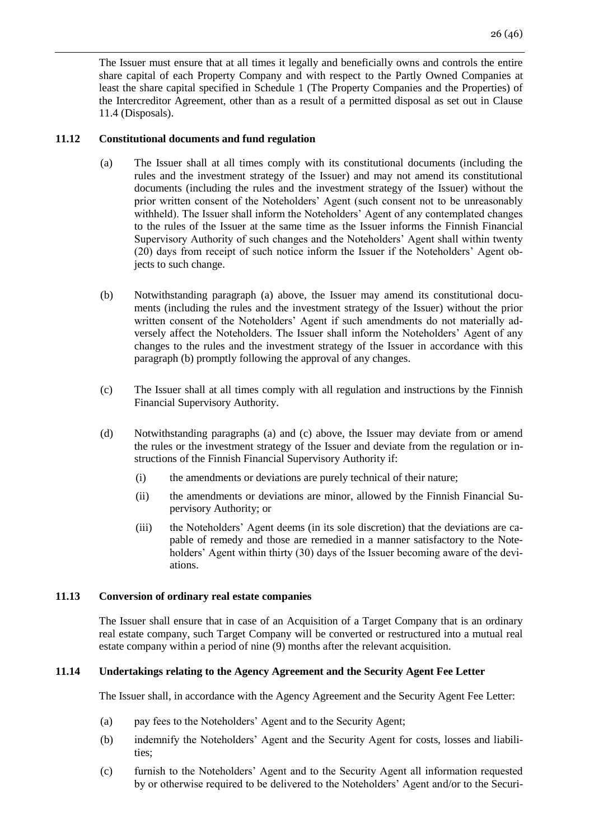The Issuer must ensure that at all times it legally and beneficially owns and controls the entire share capital of each Property Company and with respect to the Partly Owned Companies at least the share capital specified in Schedule 1 (The Property Companies and the Properties) of the Intercreditor Agreement, other than as a result of a permitted disposal as set out in Clause 11.4 (Disposals).

## **11.12 Constitutional documents and fund regulation**

- (a) The Issuer shall at all times comply with its constitutional documents (including the rules and the investment strategy of the Issuer) and may not amend its constitutional documents (including the rules and the investment strategy of the Issuer) without the prior written consent of the Noteholders' Agent (such consent not to be unreasonably withheld). The Issuer shall inform the Noteholders' Agent of any contemplated changes to the rules of the Issuer at the same time as the Issuer informs the Finnish Financial Supervisory Authority of such changes and the Noteholders' Agent shall within twenty (20) days from receipt of such notice inform the Issuer if the Noteholders' Agent objects to such change.
- (b) Notwithstanding paragraph (a) above, the Issuer may amend its constitutional documents (including the rules and the investment strategy of the Issuer) without the prior written consent of the Noteholders' Agent if such amendments do not materially adversely affect the Noteholders. The Issuer shall inform the Noteholders' Agent of any changes to the rules and the investment strategy of the Issuer in accordance with this paragraph (b) promptly following the approval of any changes.
- (c) The Issuer shall at all times comply with all regulation and instructions by the Finnish Financial Supervisory Authority.
- (d) Notwithstanding paragraphs (a) and (c) above, the Issuer may deviate from or amend the rules or the investment strategy of the Issuer and deviate from the regulation or instructions of the Finnish Financial Supervisory Authority if:
	- (i) the amendments or deviations are purely technical of their nature;
	- (ii) the amendments or deviations are minor, allowed by the Finnish Financial Supervisory Authority; or
	- (iii) the Noteholders' Agent deems (in its sole discretion) that the deviations are capable of remedy and those are remedied in a manner satisfactory to the Noteholders' Agent within thirty (30) days of the Issuer becoming aware of the deviations.

### **11.13 Conversion of ordinary real estate companies**

The Issuer shall ensure that in case of an Acquisition of a Target Company that is an ordinary real estate company, such Target Company will be converted or restructured into a mutual real estate company within a period of nine (9) months after the relevant acquisition.

# **11.14 Undertakings relating to the Agency Agreement and the Security Agent Fee Letter**

The Issuer shall, in accordance with the Agency Agreement and the Security Agent Fee Letter:

- (a) pay fees to the Noteholders' Agent and to the Security Agent;
- (b) indemnify the Noteholders' Agent and the Security Agent for costs, losses and liabilities;
- (c) furnish to the Noteholders' Agent and to the Security Agent all information requested by or otherwise required to be delivered to the Noteholders' Agent and/or to the Securi-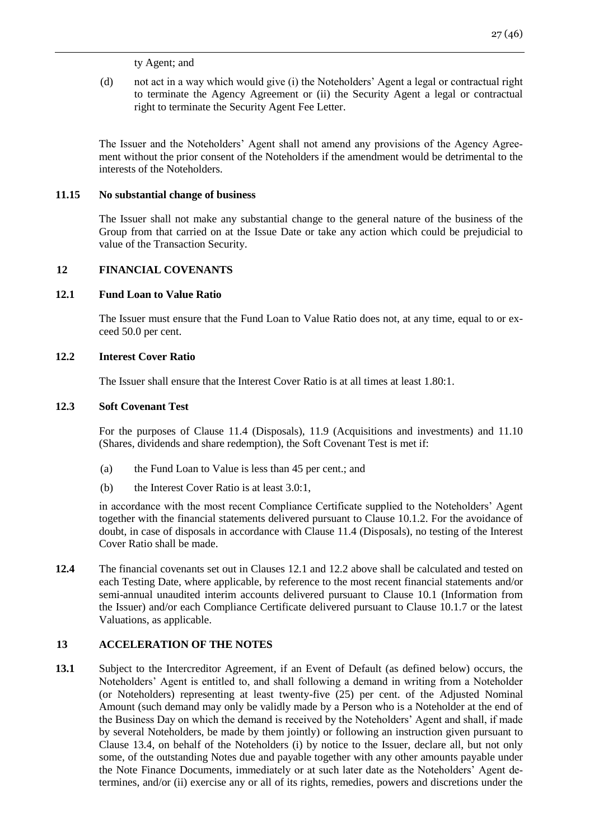(d) not act in a way which would give (i) the Noteholders' Agent a legal or contractual right to terminate the Agency Agreement or (ii) the Security Agent a legal or contractual right to terminate the Security Agent Fee Letter.

The Issuer and the Noteholders' Agent shall not amend any provisions of the Agency Agreement without the prior consent of the Noteholders if the amendment would be detrimental to the interests of the Noteholders.

## **11.15 No substantial change of business**

The Issuer shall not make any substantial change to the general nature of the business of the Group from that carried on at the Issue Date or take any action which could be prejudicial to value of the Transaction Security.

# <span id="page-26-0"></span>**12 FINANCIAL COVENANTS**

# **12.1 Fund Loan to Value Ratio**

The Issuer must ensure that the Fund Loan to Value Ratio does not, at any time, equal to or exceed 50.0 per cent.

# **12.2 Interest Cover Ratio**

The Issuer shall ensure that the Interest Cover Ratio is at all times at least 1.80:1.

# **12.3 Soft Covenant Test**

For the purposes of Clause 11.4 (Disposals), 11.9 (Acquisitions and investments) and 11.10 (Shares, dividends and share redemption), the Soft Covenant Test is met if:

- (a) the Fund Loan to Value is less than 45 per cent.; and
- (b) the Interest Cover Ratio is at least 3.0:1,

in accordance with the most recent Compliance Certificate supplied to the Noteholders' Agent together with the financial statements delivered pursuant to Clause 10.1.2. For the avoidance of doubt, in case of disposals in accordance with Clause 11.4 (Disposals), no testing of the Interest Cover Ratio shall be made.

**12.4** The financial covenants set out in Clauses 12.1 and 12.2 above shall be calculated and tested on each Testing Date, where applicable, by reference to the most recent financial statements and/or semi-annual unaudited interim accounts delivered pursuant to Clause 10.1 (Information from the Issuer) and/or each Compliance Certificate delivered pursuant to Clause 10.1.7 or the latest Valuations, as applicable.

# <span id="page-26-1"></span>**13 ACCELERATION OF THE NOTES**

**13.1** Subject to the Intercreditor Agreement, if an Event of Default (as defined below) occurs, the Noteholders' Agent is entitled to, and shall following a demand in writing from a Noteholder (or Noteholders) representing at least twenty-five (25) per cent. of the Adjusted Nominal Amount (such demand may only be validly made by a Person who is a Noteholder at the end of the Business Day on which the demand is received by the Noteholders' Agent and shall, if made by several Noteholders, be made by them jointly) or following an instruction given pursuant to Clause 13.4, on behalf of the Noteholders (i) by notice to the Issuer, declare all, but not only some, of the outstanding Notes due and payable together with any other amounts payable under the Note Finance Documents, immediately or at such later date as the Noteholders' Agent determines, and/or (ii) exercise any or all of its rights, remedies, powers and discretions under the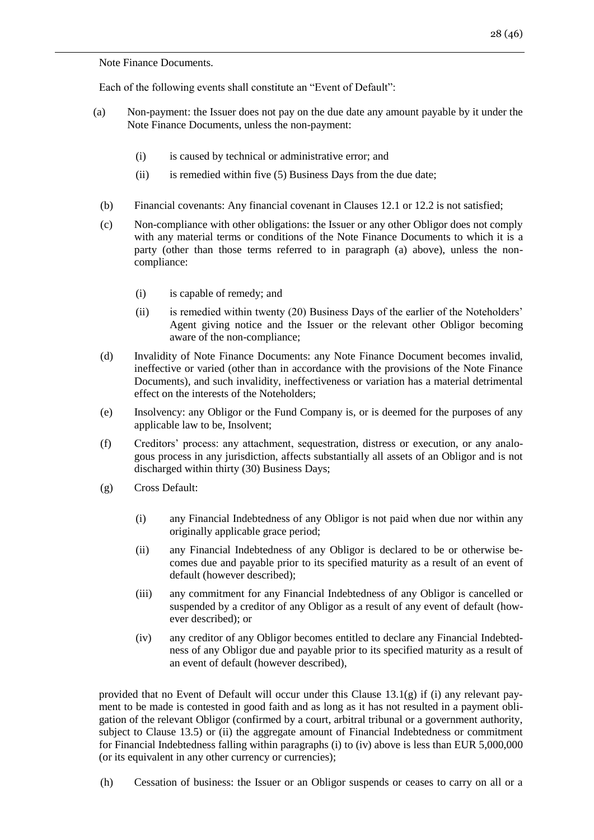Note Finance Documents.

Each of the following events shall constitute an "Event of Default":

- (a) Non-payment: the Issuer does not pay on the due date any amount payable by it under the Note Finance Documents, unless the non-payment:
	- (i) is caused by technical or administrative error; and
	- $(ii)$  is remedied within five  $(5)$  Business Days from the due date;
	- (b) Financial covenants: Any financial covenant in Clauses 12.1 or 12.2 is not satisfied;
	- (c) Non-compliance with other obligations: the Issuer or any other Obligor does not comply with any material terms or conditions of the Note Finance Documents to which it is a party (other than those terms referred to in paragraph (a) above), unless the noncompliance:
		- (i) is capable of remedy; and
		- (ii) is remedied within twenty (20) Business Days of the earlier of the Noteholders' Agent giving notice and the Issuer or the relevant other Obligor becoming aware of the non-compliance;
	- (d) Invalidity of Note Finance Documents: any Note Finance Document becomes invalid, ineffective or varied (other than in accordance with the provisions of the Note Finance Documents), and such invalidity, ineffectiveness or variation has a material detrimental effect on the interests of the Noteholders;
	- (e) Insolvency: any Obligor or the Fund Company is, or is deemed for the purposes of any applicable law to be, Insolvent;
	- (f) Creditors' process: any attachment, sequestration, distress or execution, or any analogous process in any jurisdiction, affects substantially all assets of an Obligor and is not discharged within thirty (30) Business Days;
	- (g) Cross Default:
		- (i) any Financial Indebtedness of any Obligor is not paid when due nor within any originally applicable grace period;
		- (ii) any Financial Indebtedness of any Obligor is declared to be or otherwise becomes due and payable prior to its specified maturity as a result of an event of default (however described);
		- (iii) any commitment for any Financial Indebtedness of any Obligor is cancelled or suspended by a creditor of any Obligor as a result of any event of default (however described); or
		- (iv) any creditor of any Obligor becomes entitled to declare any Financial Indebtedness of any Obligor due and payable prior to its specified maturity as a result of an event of default (however described),

provided that no Event of Default will occur under this Clause 13.1(g) if (i) any relevant payment to be made is contested in good faith and as long as it has not resulted in a payment obligation of the relevant Obligor (confirmed by a court, arbitral tribunal or a government authority, subject to Clause 13.5) or (ii) the aggregate amount of Financial Indebtedness or commitment for Financial Indebtedness falling within paragraphs (i) to (iv) above is less than EUR 5,000,000 (or its equivalent in any other currency or currencies);

(h) Cessation of business: the Issuer or an Obligor suspends or ceases to carry on all or a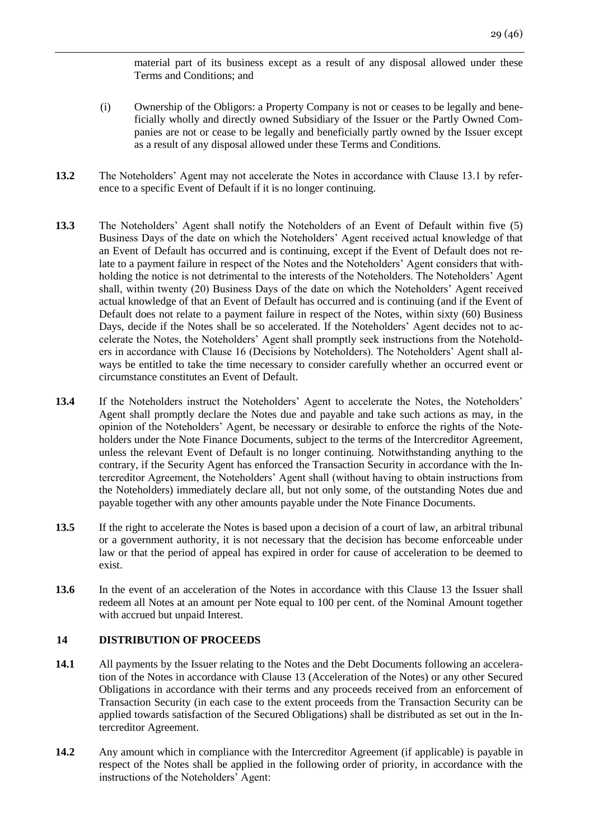material part of its business except as a result of any disposal allowed under these Terms and Conditions; and

- (i) Ownership of the Obligors: a Property Company is not or ceases to be legally and beneficially wholly and directly owned Subsidiary of the Issuer or the Partly Owned Companies are not or cease to be legally and beneficially partly owned by the Issuer except as a result of any disposal allowed under these Terms and Conditions.
- **13.2** The Noteholders' Agent may not accelerate the Notes in accordance with Clause 13.1 by reference to a specific Event of Default if it is no longer continuing.
- **13.3** The Noteholders' Agent shall notify the Noteholders of an Event of Default within five (5) Business Days of the date on which the Noteholders' Agent received actual knowledge of that an Event of Default has occurred and is continuing, except if the Event of Default does not relate to a payment failure in respect of the Notes and the Noteholders' Agent considers that withholding the notice is not detrimental to the interests of the Noteholders. The Noteholders' Agent shall, within twenty (20) Business Days of the date on which the Noteholders' Agent received actual knowledge of that an Event of Default has occurred and is continuing (and if the Event of Default does not relate to a payment failure in respect of the Notes, within sixty (60) Business Days, decide if the Notes shall be so accelerated. If the Noteholders' Agent decides not to accelerate the Notes, the Noteholders' Agent shall promptly seek instructions from the Noteholders in accordance with Clause 16 (Decisions by Noteholders). The Noteholders' Agent shall always be entitled to take the time necessary to consider carefully whether an occurred event or circumstance constitutes an Event of Default.
- 13.4 If the Noteholders instruct the Noteholders' Agent to accelerate the Notes, the Noteholders' Agent shall promptly declare the Notes due and payable and take such actions as may, in the opinion of the Noteholders' Agent, be necessary or desirable to enforce the rights of the Noteholders under the Note Finance Documents, subject to the terms of the Intercreditor Agreement, unless the relevant Event of Default is no longer continuing. Notwithstanding anything to the contrary, if the Security Agent has enforced the Transaction Security in accordance with the Intercreditor Agreement, the Noteholders' Agent shall (without having to obtain instructions from the Noteholders) immediately declare all, but not only some, of the outstanding Notes due and payable together with any other amounts payable under the Note Finance Documents.
- **13.5** If the right to accelerate the Notes is based upon a decision of a court of law, an arbitral tribunal or a government authority, it is not necessary that the decision has become enforceable under law or that the period of appeal has expired in order for cause of acceleration to be deemed to exist.
- **13.6** In the event of an acceleration of the Notes in accordance with this Clause 13 the Issuer shall redeem all Notes at an amount per Note equal to 100 per cent. of the Nominal Amount together with accrued but unpaid Interest.

## <span id="page-28-0"></span>**14 DISTRIBUTION OF PROCEEDS**

- **14.1** All payments by the Issuer relating to the Notes and the Debt Documents following an acceleration of the Notes in accordance with Clause 13 (Acceleration of the Notes) or any other Secured Obligations in accordance with their terms and any proceeds received from an enforcement of Transaction Security (in each case to the extent proceeds from the Transaction Security can be applied towards satisfaction of the Secured Obligations) shall be distributed as set out in the Intercreditor Agreement.
- **14.2** Any amount which in compliance with the Intercreditor Agreement (if applicable) is payable in respect of the Notes shall be applied in the following order of priority, in accordance with the instructions of the Noteholders' Agent: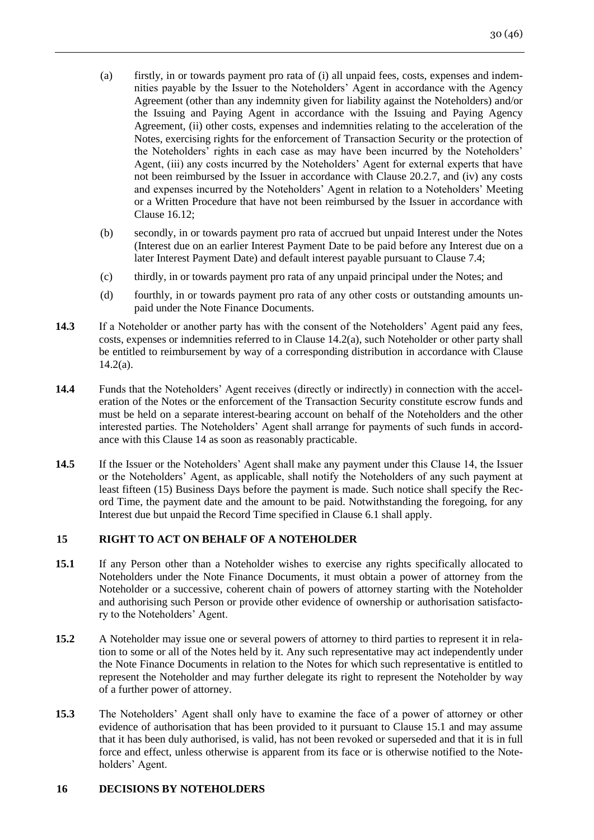- (a) firstly, in or towards payment pro rata of (i) all unpaid fees, costs, expenses and indemnities payable by the Issuer to the Noteholders' Agent in accordance with the Agency Agreement (other than any indemnity given for liability against the Noteholders) and/or the Issuing and Paying Agent in accordance with the Issuing and Paying Agency Agreement, (ii) other costs, expenses and indemnities relating to the acceleration of the Notes, exercising rights for the enforcement of Transaction Security or the protection of the Noteholders' rights in each case as may have been incurred by the Noteholders' Agent, (iii) any costs incurred by the Noteholders' Agent for external experts that have not been reimbursed by the Issuer in accordance with Clause 20.2.7, and (iv) any costs and expenses incurred by the Noteholders' Agent in relation to a Noteholders' Meeting or a Written Procedure that have not been reimbursed by the Issuer in accordance with Clause 16.12;
- (b) secondly, in or towards payment pro rata of accrued but unpaid Interest under the Notes (Interest due on an earlier Interest Payment Date to be paid before any Interest due on a later Interest Payment Date) and default interest payable pursuant to Clause 7.4;
- (c) thirdly, in or towards payment pro rata of any unpaid principal under the Notes; and
- (d) fourthly, in or towards payment pro rata of any other costs or outstanding amounts unpaid under the Note Finance Documents.
- **14.3** If a Noteholder or another party has with the consent of the Noteholders' Agent paid any fees, costs, expenses or indemnities referred to in Clause 14.2(a), such Noteholder or other party shall be entitled to reimbursement by way of a corresponding distribution in accordance with Clause  $14.2(a)$ .
- **14.4** Funds that the Noteholders' Agent receives (directly or indirectly) in connection with the acceleration of the Notes or the enforcement of the Transaction Security constitute escrow funds and must be held on a separate interest-bearing account on behalf of the Noteholders and the other interested parties. The Noteholders' Agent shall arrange for payments of such funds in accordance with this Clause 14 as soon as reasonably practicable.
- **14.5** If the Issuer or the Noteholders' Agent shall make any payment under this Clause 14, the Issuer or the Noteholders' Agent, as applicable, shall notify the Noteholders of any such payment at least fifteen (15) Business Days before the payment is made. Such notice shall specify the Record Time, the payment date and the amount to be paid. Notwithstanding the foregoing, for any Interest due but unpaid the Record Time specified in Clause 6.1 shall apply.

# <span id="page-29-0"></span>**15 RIGHT TO ACT ON BEHALF OF A NOTEHOLDER**

- **15.1** If any Person other than a Noteholder wishes to exercise any rights specifically allocated to Noteholders under the Note Finance Documents, it must obtain a power of attorney from the Noteholder or a successive, coherent chain of powers of attorney starting with the Noteholder and authorising such Person or provide other evidence of ownership or authorisation satisfactory to the Noteholders' Agent.
- **15.2** A Noteholder may issue one or several powers of attorney to third parties to represent it in relation to some or all of the Notes held by it. Any such representative may act independently under the Note Finance Documents in relation to the Notes for which such representative is entitled to represent the Noteholder and may further delegate its right to represent the Noteholder by way of a further power of attorney.
- **15.3** The Noteholders' Agent shall only have to examine the face of a power of attorney or other evidence of authorisation that has been provided to it pursuant to Clause 15.1 and may assume that it has been duly authorised, is valid, has not been revoked or superseded and that it is in full force and effect, unless otherwise is apparent from its face or is otherwise notified to the Noteholders' Agent.

### <span id="page-29-1"></span>**16 DECISIONS BY NOTEHOLDERS**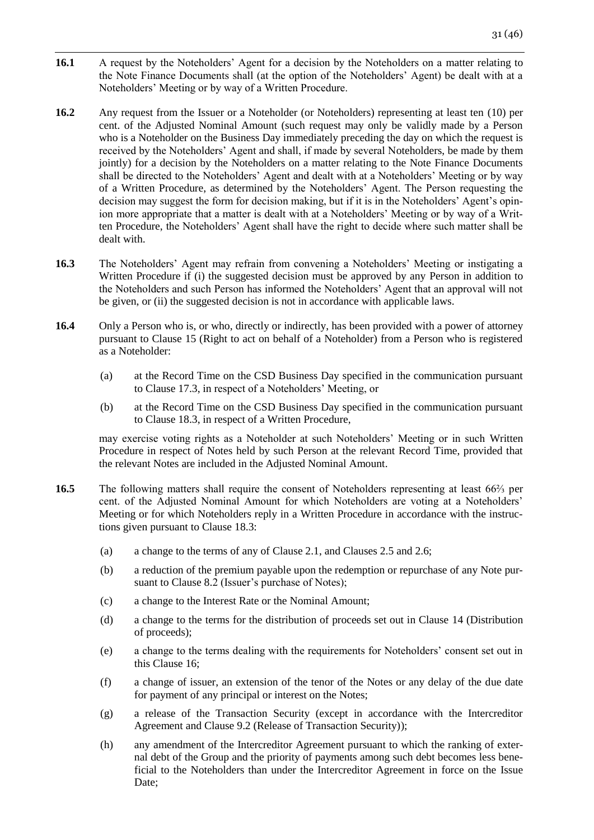- **16.1** A request by the Noteholders' Agent for a decision by the Noteholders on a matter relating to the Note Finance Documents shall (at the option of the Noteholders' Agent) be dealt with at a Noteholders' Meeting or by way of a Written Procedure.
- **16.2** Any request from the Issuer or a Noteholder (or Noteholders) representing at least ten (10) per cent. of the Adjusted Nominal Amount (such request may only be validly made by a Person who is a Noteholder on the Business Day immediately preceding the day on which the request is received by the Noteholders' Agent and shall, if made by several Noteholders, be made by them jointly) for a decision by the Noteholders on a matter relating to the Note Finance Documents shall be directed to the Noteholders' Agent and dealt with at a Noteholders' Meeting or by way of a Written Procedure, as determined by the Noteholders' Agent. The Person requesting the decision may suggest the form for decision making, but if it is in the Noteholders' Agent's opinion more appropriate that a matter is dealt with at a Noteholders' Meeting or by way of a Written Procedure, the Noteholders' Agent shall have the right to decide where such matter shall be dealt with.
- **16.3** The Noteholders' Agent may refrain from convening a Noteholders' Meeting or instigating a Written Procedure if (i) the suggested decision must be approved by any Person in addition to the Noteholders and such Person has informed the Noteholders' Agent that an approval will not be given, or (ii) the suggested decision is not in accordance with applicable laws.
- 16.4 Only a Person who is, or who, directly or indirectly, has been provided with a power of attorney pursuant to Clause 15 (Right to act on behalf of a Noteholder) from a Person who is registered as a Noteholder:
	- (a) at the Record Time on the CSD Business Day specified in the communication pursuant to Clause 17.3, in respect of a Noteholders' Meeting, or
	- (b) at the Record Time on the CSD Business Day specified in the communication pursuant to Clause 18.3, in respect of a Written Procedure,

may exercise voting rights as a Noteholder at such Noteholders' Meeting or in such Written Procedure in respect of Notes held by such Person at the relevant Record Time, provided that the relevant Notes are included in the Adjusted Nominal Amount.

- **16.5** The following matters shall require the consent of Noteholders representing at least 66<sup>%</sup> per cent. of the Adjusted Nominal Amount for which Noteholders are voting at a Noteholders' Meeting or for which Noteholders reply in a Written Procedure in accordance with the instructions given pursuant to Clause 18.3:
	- (a) a change to the terms of any of Clause 2.1, and Clauses 2.5 and 2.6;
	- (b) a reduction of the premium payable upon the redemption or repurchase of any Note pursuant to Clause 8.2 (Issuer's purchase of Notes);
	- (c) a change to the Interest Rate or the Nominal Amount;
	- (d) a change to the terms for the distribution of proceeds set out in Clause 14 (Distribution of proceeds);
	- (e) a change to the terms dealing with the requirements for Noteholders' consent set out in this Clause 16;
	- (f) a change of issuer, an extension of the tenor of the Notes or any delay of the due date for payment of any principal or interest on the Notes;
	- (g) a release of the Transaction Security (except in accordance with the Intercreditor Agreement and Clause 9.2 (Release of Transaction Security));
	- (h) any amendment of the Intercreditor Agreement pursuant to which the ranking of external debt of the Group and the priority of payments among such debt becomes less beneficial to the Noteholders than under the Intercreditor Agreement in force on the Issue Date;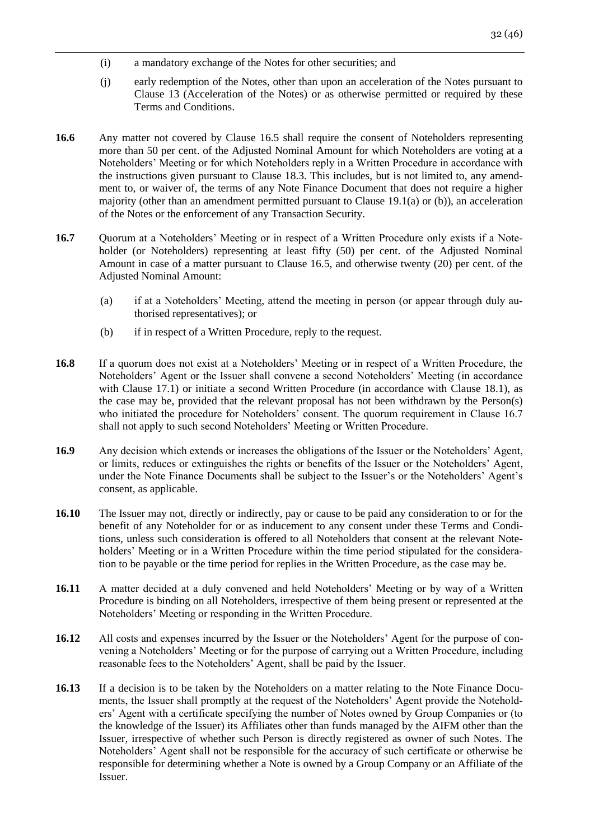- (i) a mandatory exchange of the Notes for other securities; and
- (j) early redemption of the Notes, other than upon an acceleration of the Notes pursuant to Clause 13 (Acceleration of the Notes) or as otherwise permitted or required by these Terms and Conditions.
- **16.6** Any matter not covered by Clause 16.5 shall require the consent of Noteholders representing more than 50 per cent. of the Adjusted Nominal Amount for which Noteholders are voting at a Noteholders' Meeting or for which Noteholders reply in a Written Procedure in accordance with the instructions given pursuant to Clause 18.3. This includes, but is not limited to, any amendment to, or waiver of, the terms of any Note Finance Document that does not require a higher majority (other than an amendment permitted pursuant to Clause 19.1(a) or (b)), an acceleration of the Notes or the enforcement of any Transaction Security.
- **16.7** Ouorum at a Noteholders' Meeting or in respect of a Written Procedure only exists if a Noteholder (or Noteholders) representing at least fifty (50) per cent. of the Adjusted Nominal Amount in case of a matter pursuant to Clause 16.5, and otherwise twenty (20) per cent. of the Adjusted Nominal Amount:
	- (a) if at a Noteholders' Meeting, attend the meeting in person (or appear through duly authorised representatives); or
	- (b) if in respect of a Written Procedure, reply to the request.
- **16.8** If a quorum does not exist at a Noteholders' Meeting or in respect of a Written Procedure, the Noteholders' Agent or the Issuer shall convene a second Noteholders' Meeting (in accordance with Clause 17.1) or initiate a second Written Procedure (in accordance with Clause 18.1), as the case may be, provided that the relevant proposal has not been withdrawn by the Person(s) who initiated the procedure for Noteholders' consent. The quorum requirement in Clause 16.7 shall not apply to such second Noteholders' Meeting or Written Procedure.
- **16.9** Any decision which extends or increases the obligations of the Issuer or the Noteholders' Agent, or limits, reduces or extinguishes the rights or benefits of the Issuer or the Noteholders' Agent, under the Note Finance Documents shall be subject to the Issuer's or the Noteholders' Agent's consent, as applicable.
- **16.10** The Issuer may not, directly or indirectly, pay or cause to be paid any consideration to or for the benefit of any Noteholder for or as inducement to any consent under these Terms and Conditions, unless such consideration is offered to all Noteholders that consent at the relevant Noteholders' Meeting or in a Written Procedure within the time period stipulated for the consideration to be payable or the time period for replies in the Written Procedure, as the case may be.
- **16.11** A matter decided at a duly convened and held Noteholders' Meeting or by way of a Written Procedure is binding on all Noteholders, irrespective of them being present or represented at the Noteholders' Meeting or responding in the Written Procedure.
- 16.12 All costs and expenses incurred by the Issuer or the Noteholders' Agent for the purpose of convening a Noteholders' Meeting or for the purpose of carrying out a Written Procedure, including reasonable fees to the Noteholders' Agent, shall be paid by the Issuer.
- **16.13** If a decision is to be taken by the Noteholders on a matter relating to the Note Finance Documents, the Issuer shall promptly at the request of the Noteholders' Agent provide the Noteholders' Agent with a certificate specifying the number of Notes owned by Group Companies or (to the knowledge of the Issuer) its Affiliates other than funds managed by the AIFM other than the Issuer, irrespective of whether such Person is directly registered as owner of such Notes. The Noteholders' Agent shall not be responsible for the accuracy of such certificate or otherwise be responsible for determining whether a Note is owned by a Group Company or an Affiliate of the Issuer.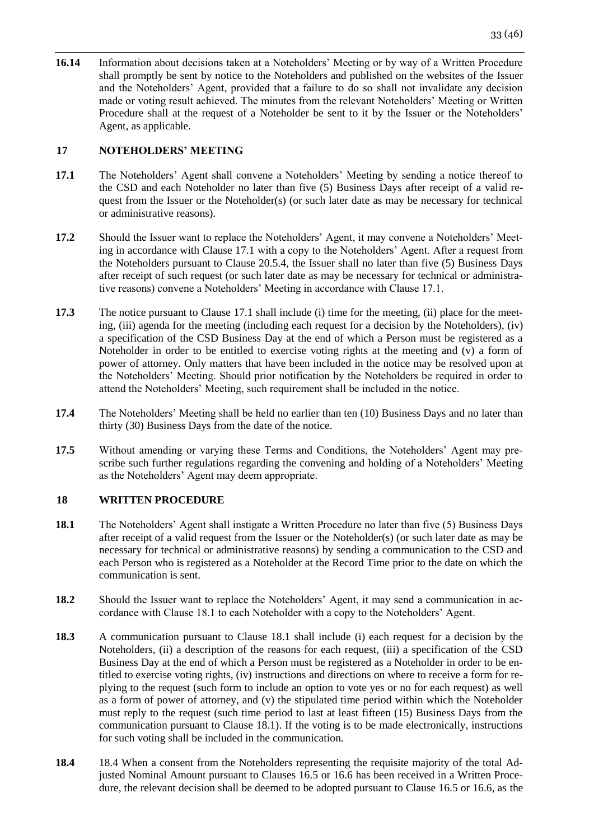**16.14** Information about decisions taken at a Noteholders' Meeting or by way of a Written Procedure shall promptly be sent by notice to the Noteholders and published on the websites of the Issuer and the Noteholders' Agent, provided that a failure to do so shall not invalidate any decision made or voting result achieved. The minutes from the relevant Noteholders' Meeting or Written Procedure shall at the request of a Noteholder be sent to it by the Issuer or the Noteholders' Agent, as applicable.

# <span id="page-32-0"></span>**17 NOTEHOLDERS' MEETING**

- **17.1** The Noteholders' Agent shall convene a Noteholders' Meeting by sending a notice thereof to the CSD and each Noteholder no later than five (5) Business Days after receipt of a valid request from the Issuer or the Noteholder(s) (or such later date as may be necessary for technical or administrative reasons).
- **17.2** Should the Issuer want to replace the Noteholders' Agent, it may convene a Noteholders' Meeting in accordance with Clause 17.1 with a copy to the Noteholders' Agent. After a request from the Noteholders pursuant to Clause 20.5.4, the Issuer shall no later than five (5) Business Days after receipt of such request (or such later date as may be necessary for technical or administrative reasons) convene a Noteholders' Meeting in accordance with Clause 17.1.
- **17.3** The notice pursuant to Clause 17.1 shall include (i) time for the meeting, (ii) place for the meeting, (iii) agenda for the meeting (including each request for a decision by the Noteholders), (iv) a specification of the CSD Business Day at the end of which a Person must be registered as a Noteholder in order to be entitled to exercise voting rights at the meeting and (v) a form of power of attorney. Only matters that have been included in the notice may be resolved upon at the Noteholders' Meeting. Should prior notification by the Noteholders be required in order to attend the Noteholders' Meeting, such requirement shall be included in the notice.
- **17.4** The Noteholders' Meeting shall be held no earlier than ten (10) Business Days and no later than thirty (30) Business Days from the date of the notice.
- **17.5** Without amending or varying these Terms and Conditions, the Noteholders' Agent may prescribe such further regulations regarding the convening and holding of a Noteholders' Meeting as the Noteholders' Agent may deem appropriate.

# <span id="page-32-1"></span>**18 WRITTEN PROCEDURE**

- **18.1** The Noteholders' Agent shall instigate a Written Procedure no later than five (5) Business Days after receipt of a valid request from the Issuer or the Noteholder(s) (or such later date as may be necessary for technical or administrative reasons) by sending a communication to the CSD and each Person who is registered as a Noteholder at the Record Time prior to the date on which the communication is sent.
- **18.2** Should the Issuer want to replace the Noteholders' Agent, it may send a communication in accordance with Clause 18.1 to each Noteholder with a copy to the Noteholders' Agent.
- **18.3** A communication pursuant to Clause 18.1 shall include (i) each request for a decision by the Noteholders, (ii) a description of the reasons for each request, (iii) a specification of the CSD Business Day at the end of which a Person must be registered as a Noteholder in order to be entitled to exercise voting rights, (iv) instructions and directions on where to receive a form for replying to the request (such form to include an option to vote yes or no for each request) as well as a form of power of attorney, and (v) the stipulated time period within which the Noteholder must reply to the request (such time period to last at least fifteen (15) Business Days from the communication pursuant to Clause 18.1). If the voting is to be made electronically, instructions for such voting shall be included in the communication.
- **18.4** 18.4 When a consent from the Noteholders representing the requisite majority of the total Adjusted Nominal Amount pursuant to Clauses 16.5 or 16.6 has been received in a Written Procedure, the relevant decision shall be deemed to be adopted pursuant to Clause 16.5 or 16.6, as the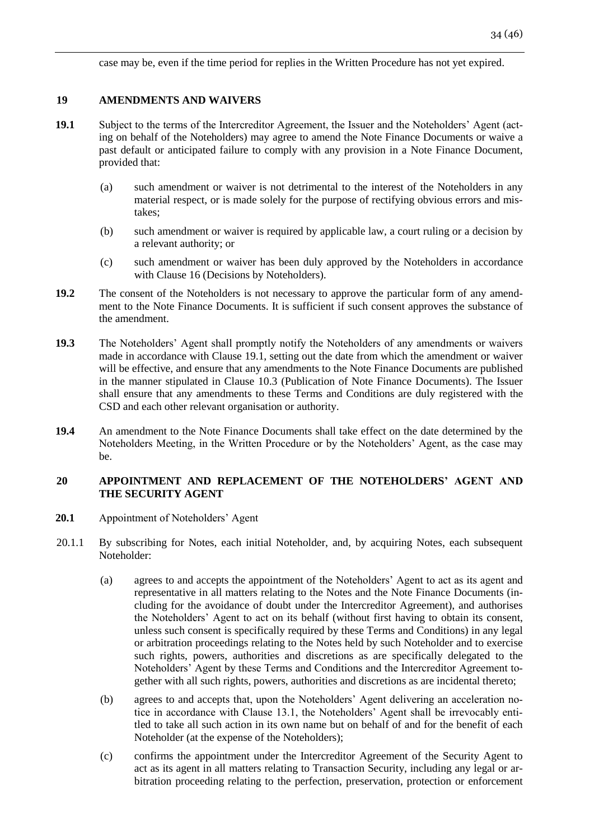case may be, even if the time period for replies in the Written Procedure has not yet expired.

# <span id="page-33-0"></span>**19 AMENDMENTS AND WAIVERS**

- **19.1** Subject to the terms of the Intercreditor Agreement, the Issuer and the Noteholders' Agent (acting on behalf of the Noteholders) may agree to amend the Note Finance Documents or waive a past default or anticipated failure to comply with any provision in a Note Finance Document, provided that:
	- (a) such amendment or waiver is not detrimental to the interest of the Noteholders in any material respect, or is made solely for the purpose of rectifying obvious errors and mistakes;
	- (b) such amendment or waiver is required by applicable law, a court ruling or a decision by a relevant authority; or
	- (c) such amendment or waiver has been duly approved by the Noteholders in accordance with Clause 16 (Decisions by Noteholders).
- **19.2** The consent of the Noteholders is not necessary to approve the particular form of any amendment to the Note Finance Documents. It is sufficient if such consent approves the substance of the amendment.
- **19.3** The Noteholders' Agent shall promptly notify the Noteholders of any amendments or waivers made in accordance with Clause 19.1, setting out the date from which the amendment or waiver will be effective, and ensure that any amendments to the Note Finance Documents are published in the manner stipulated in Clause 10.3 (Publication of Note Finance Documents). The Issuer shall ensure that any amendments to these Terms and Conditions are duly registered with the CSD and each other relevant organisation or authority.
- **19.4** An amendment to the Note Finance Documents shall take effect on the date determined by the Noteholders Meeting, in the Written Procedure or by the Noteholders' Agent, as the case may be.

# <span id="page-33-1"></span>**20 APPOINTMENT AND REPLACEMENT OF THE NOTEHOLDERS' AGENT AND THE SECURITY AGENT**

- **20.1** Appointment of Noteholders' Agent
- 20.1.1 By subscribing for Notes, each initial Noteholder, and, by acquiring Notes, each subsequent Noteholder:
	- (a) agrees to and accepts the appointment of the Noteholders' Agent to act as its agent and representative in all matters relating to the Notes and the Note Finance Documents (including for the avoidance of doubt under the Intercreditor Agreement), and authorises the Noteholders' Agent to act on its behalf (without first having to obtain its consent, unless such consent is specifically required by these Terms and Conditions) in any legal or arbitration proceedings relating to the Notes held by such Noteholder and to exercise such rights, powers, authorities and discretions as are specifically delegated to the Noteholders' Agent by these Terms and Conditions and the Intercreditor Agreement together with all such rights, powers, authorities and discretions as are incidental thereto;
	- (b) agrees to and accepts that, upon the Noteholders' Agent delivering an acceleration notice in accordance with Clause 13.1, the Noteholders' Agent shall be irrevocably entitled to take all such action in its own name but on behalf of and for the benefit of each Noteholder (at the expense of the Noteholders);
	- (c) confirms the appointment under the Intercreditor Agreement of the Security Agent to act as its agent in all matters relating to Transaction Security, including any legal or arbitration proceeding relating to the perfection, preservation, protection or enforcement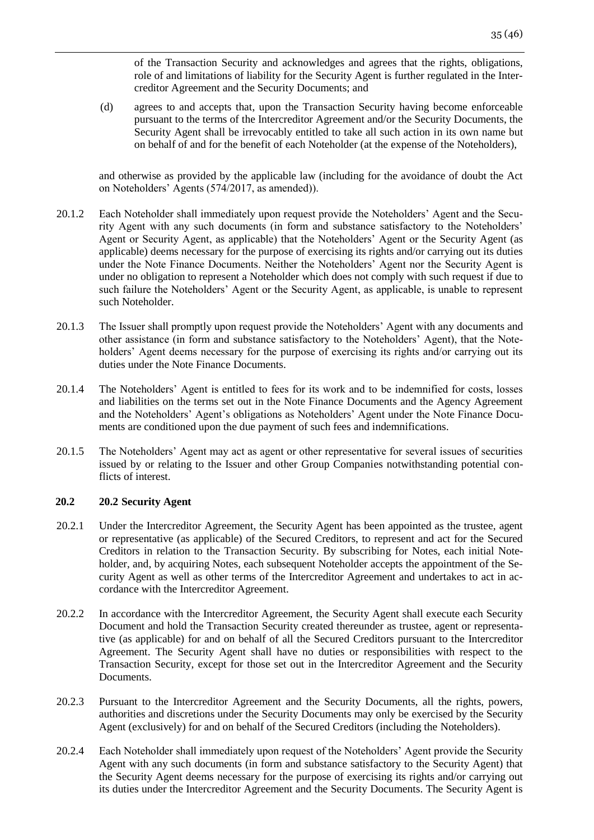of the Transaction Security and acknowledges and agrees that the rights, obligations, role of and limitations of liability for the Security Agent is further regulated in the Intercreditor Agreement and the Security Documents; and

(d) agrees to and accepts that, upon the Transaction Security having become enforceable pursuant to the terms of the Intercreditor Agreement and/or the Security Documents, the Security Agent shall be irrevocably entitled to take all such action in its own name but on behalf of and for the benefit of each Noteholder (at the expense of the Noteholders),

and otherwise as provided by the applicable law (including for the avoidance of doubt the Act on Noteholders' Agents (574/2017, as amended)).

- 20.1.2 Each Noteholder shall immediately upon request provide the Noteholders' Agent and the Security Agent with any such documents (in form and substance satisfactory to the Noteholders' Agent or Security Agent, as applicable) that the Noteholders' Agent or the Security Agent (as applicable) deems necessary for the purpose of exercising its rights and/or carrying out its duties under the Note Finance Documents. Neither the Noteholders' Agent nor the Security Agent is under no obligation to represent a Noteholder which does not comply with such request if due to such failure the Noteholders' Agent or the Security Agent, as applicable, is unable to represent such Noteholder.
- 20.1.3 The Issuer shall promptly upon request provide the Noteholders' Agent with any documents and other assistance (in form and substance satisfactory to the Noteholders' Agent), that the Noteholders' Agent deems necessary for the purpose of exercising its rights and/or carrying out its duties under the Note Finance Documents.
- 20.1.4 The Noteholders' Agent is entitled to fees for its work and to be indemnified for costs, losses and liabilities on the terms set out in the Note Finance Documents and the Agency Agreement and the Noteholders' Agent's obligations as Noteholders' Agent under the Note Finance Documents are conditioned upon the due payment of such fees and indemnifications.
- 20.1.5 The Noteholders' Agent may act as agent or other representative for several issues of securities issued by or relating to the Issuer and other Group Companies notwithstanding potential conflicts of interest.

### **20.2 20.2 Security Agent**

- 20.2.1 Under the Intercreditor Agreement, the Security Agent has been appointed as the trustee, agent or representative (as applicable) of the Secured Creditors, to represent and act for the Secured Creditors in relation to the Transaction Security. By subscribing for Notes, each initial Noteholder, and, by acquiring Notes, each subsequent Noteholder accepts the appointment of the Security Agent as well as other terms of the Intercreditor Agreement and undertakes to act in accordance with the Intercreditor Agreement.
- 20.2.2 In accordance with the Intercreditor Agreement, the Security Agent shall execute each Security Document and hold the Transaction Security created thereunder as trustee, agent or representative (as applicable) for and on behalf of all the Secured Creditors pursuant to the Intercreditor Agreement. The Security Agent shall have no duties or responsibilities with respect to the Transaction Security, except for those set out in the Intercreditor Agreement and the Security Documents.
- 20.2.3 Pursuant to the Intercreditor Agreement and the Security Documents, all the rights, powers, authorities and discretions under the Security Documents may only be exercised by the Security Agent (exclusively) for and on behalf of the Secured Creditors (including the Noteholders).
- 20.2.4 Each Noteholder shall immediately upon request of the Noteholders' Agent provide the Security Agent with any such documents (in form and substance satisfactory to the Security Agent) that the Security Agent deems necessary for the purpose of exercising its rights and/or carrying out its duties under the Intercreditor Agreement and the Security Documents. The Security Agent is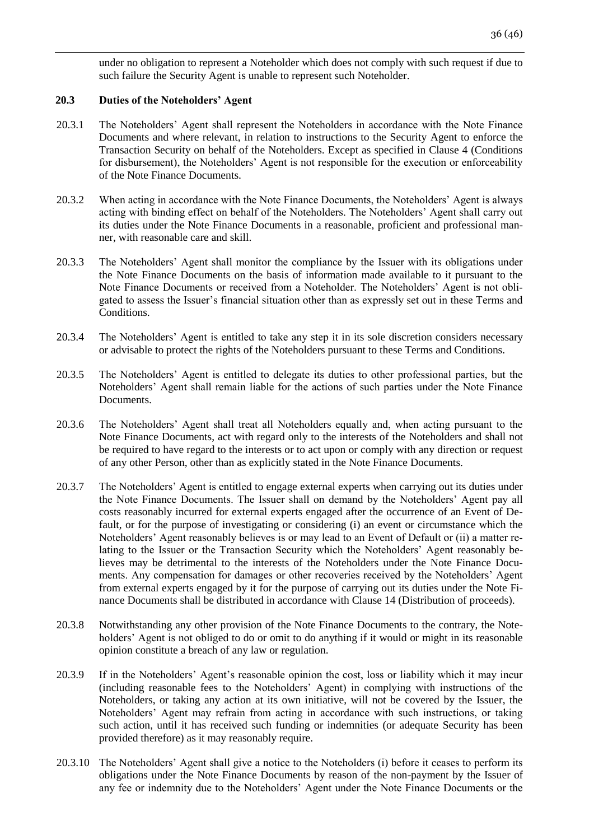under no obligation to represent a Noteholder which does not comply with such request if due to such failure the Security Agent is unable to represent such Noteholder.

### **20.3 Duties of the Noteholders' Agent**

- 20.3.1 The Noteholders' Agent shall represent the Noteholders in accordance with the Note Finance Documents and where relevant, in relation to instructions to the Security Agent to enforce the Transaction Security on behalf of the Noteholders. Except as specified in Clause 4 (Conditions for disbursement), the Noteholders' Agent is not responsible for the execution or enforceability of the Note Finance Documents.
- 20.3.2 When acting in accordance with the Note Finance Documents, the Noteholders' Agent is always acting with binding effect on behalf of the Noteholders. The Noteholders' Agent shall carry out its duties under the Note Finance Documents in a reasonable, proficient and professional manner, with reasonable care and skill.
- 20.3.3 The Noteholders' Agent shall monitor the compliance by the Issuer with its obligations under the Note Finance Documents on the basis of information made available to it pursuant to the Note Finance Documents or received from a Noteholder. The Noteholders' Agent is not obligated to assess the Issuer's financial situation other than as expressly set out in these Terms and Conditions.
- 20.3.4 The Noteholders' Agent is entitled to take any step it in its sole discretion considers necessary or advisable to protect the rights of the Noteholders pursuant to these Terms and Conditions.
- 20.3.5 The Noteholders' Agent is entitled to delegate its duties to other professional parties, but the Noteholders' Agent shall remain liable for the actions of such parties under the Note Finance Documents.
- 20.3.6 The Noteholders' Agent shall treat all Noteholders equally and, when acting pursuant to the Note Finance Documents, act with regard only to the interests of the Noteholders and shall not be required to have regard to the interests or to act upon or comply with any direction or request of any other Person, other than as explicitly stated in the Note Finance Documents.
- 20.3.7 The Noteholders' Agent is entitled to engage external experts when carrying out its duties under the Note Finance Documents. The Issuer shall on demand by the Noteholders' Agent pay all costs reasonably incurred for external experts engaged after the occurrence of an Event of Default, or for the purpose of investigating or considering (i) an event or circumstance which the Noteholders' Agent reasonably believes is or may lead to an Event of Default or (ii) a matter relating to the Issuer or the Transaction Security which the Noteholders' Agent reasonably believes may be detrimental to the interests of the Noteholders under the Note Finance Documents. Any compensation for damages or other recoveries received by the Noteholders' Agent from external experts engaged by it for the purpose of carrying out its duties under the Note Finance Documents shall be distributed in accordance with Clause 14 (Distribution of proceeds).
- 20.3.8 Notwithstanding any other provision of the Note Finance Documents to the contrary, the Noteholders' Agent is not obliged to do or omit to do anything if it would or might in its reasonable opinion constitute a breach of any law or regulation.
- 20.3.9 If in the Noteholders' Agent's reasonable opinion the cost, loss or liability which it may incur (including reasonable fees to the Noteholders' Agent) in complying with instructions of the Noteholders, or taking any action at its own initiative, will not be covered by the Issuer, the Noteholders' Agent may refrain from acting in accordance with such instructions, or taking such action, until it has received such funding or indemnities (or adequate Security has been provided therefore) as it may reasonably require.
- 20.3.10 The Noteholders' Agent shall give a notice to the Noteholders (i) before it ceases to perform its obligations under the Note Finance Documents by reason of the non-payment by the Issuer of any fee or indemnity due to the Noteholders' Agent under the Note Finance Documents or the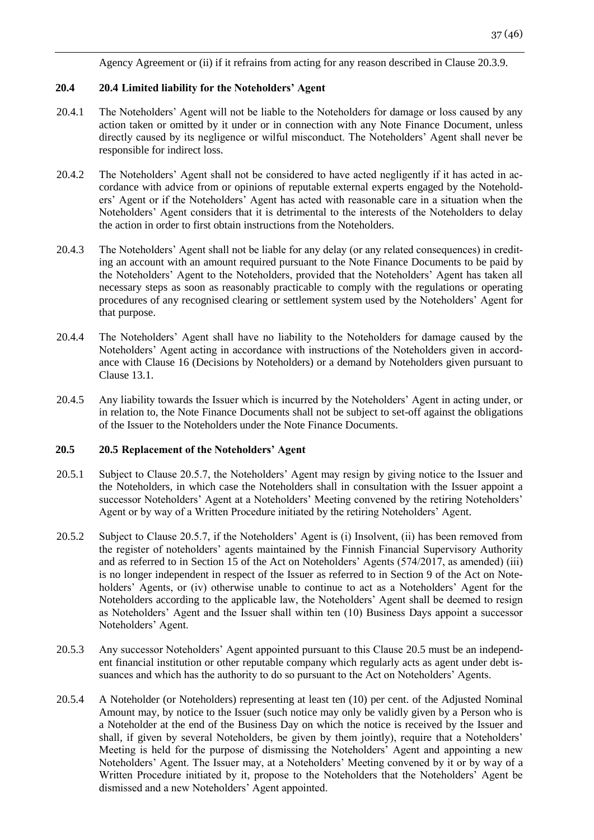Agency Agreement or (ii) if it refrains from acting for any reason described in Clause 20.3.9.

## **20.4 20.4 Limited liability for the Noteholders' Agent**

- 20.4.1 The Noteholders' Agent will not be liable to the Noteholders for damage or loss caused by any action taken or omitted by it under or in connection with any Note Finance Document, unless directly caused by its negligence or wilful misconduct. The Noteholders' Agent shall never be responsible for indirect loss.
- 20.4.2 The Noteholders' Agent shall not be considered to have acted negligently if it has acted in accordance with advice from or opinions of reputable external experts engaged by the Noteholders' Agent or if the Noteholders' Agent has acted with reasonable care in a situation when the Noteholders' Agent considers that it is detrimental to the interests of the Noteholders to delay the action in order to first obtain instructions from the Noteholders.
- 20.4.3 The Noteholders' Agent shall not be liable for any delay (or any related consequences) in crediting an account with an amount required pursuant to the Note Finance Documents to be paid by the Noteholders' Agent to the Noteholders, provided that the Noteholders' Agent has taken all necessary steps as soon as reasonably practicable to comply with the regulations or operating procedures of any recognised clearing or settlement system used by the Noteholders' Agent for that purpose.
- 20.4.4 The Noteholders' Agent shall have no liability to the Noteholders for damage caused by the Noteholders' Agent acting in accordance with instructions of the Noteholders given in accordance with Clause 16 (Decisions by Noteholders) or a demand by Noteholders given pursuant to Clause 13.1.
- 20.4.5 Any liability towards the Issuer which is incurred by the Noteholders' Agent in acting under, or in relation to, the Note Finance Documents shall not be subject to set-off against the obligations of the Issuer to the Noteholders under the Note Finance Documents.

### **20.5 20.5 Replacement of the Noteholders' Agent**

- 20.5.1 Subject to Clause 20.5.7, the Noteholders' Agent may resign by giving notice to the Issuer and the Noteholders, in which case the Noteholders shall in consultation with the Issuer appoint a successor Noteholders' Agent at a Noteholders' Meeting convened by the retiring Noteholders' Agent or by way of a Written Procedure initiated by the retiring Noteholders' Agent.
- 20.5.2 Subject to Clause 20.5.7, if the Noteholders' Agent is (i) Insolvent, (ii) has been removed from the register of noteholders' agents maintained by the Finnish Financial Supervisory Authority and as referred to in Section 15 of the Act on Noteholders' Agents (574/2017, as amended) (iii) is no longer independent in respect of the Issuer as referred to in Section 9 of the Act on Noteholders' Agents, or (iv) otherwise unable to continue to act as a Noteholders' Agent for the Noteholders according to the applicable law, the Noteholders' Agent shall be deemed to resign as Noteholders' Agent and the Issuer shall within ten (10) Business Days appoint a successor Noteholders' Agent.
- 20.5.3 Any successor Noteholders' Agent appointed pursuant to this Clause 20.5 must be an independent financial institution or other reputable company which regularly acts as agent under debt issuances and which has the authority to do so pursuant to the Act on Noteholders' Agents.
- 20.5.4 A Noteholder (or Noteholders) representing at least ten (10) per cent. of the Adjusted Nominal Amount may, by notice to the Issuer (such notice may only be validly given by a Person who is a Noteholder at the end of the Business Day on which the notice is received by the Issuer and shall, if given by several Noteholders, be given by them jointly), require that a Noteholders' Meeting is held for the purpose of dismissing the Noteholders' Agent and appointing a new Noteholders' Agent. The Issuer may, at a Noteholders' Meeting convened by it or by way of a Written Procedure initiated by it, propose to the Noteholders that the Noteholders' Agent be dismissed and a new Noteholders' Agent appointed.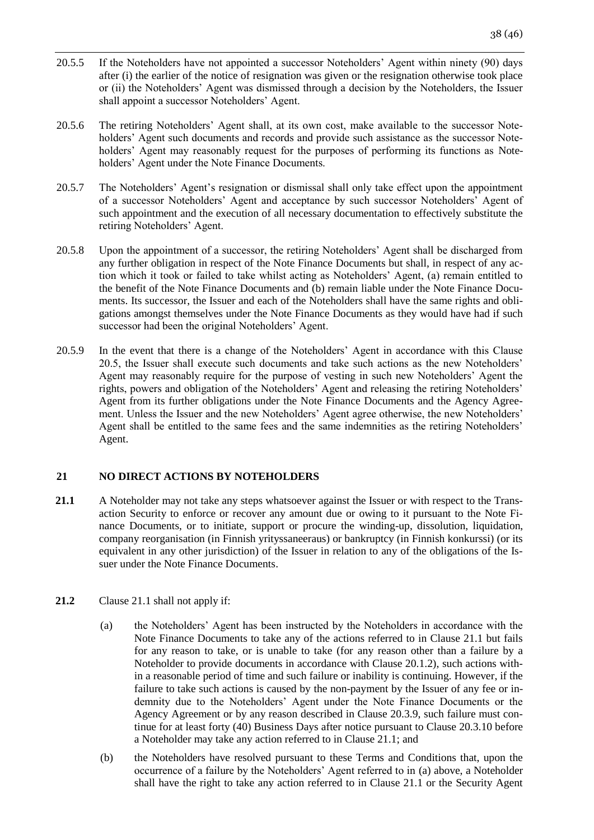- 20.5.5 If the Noteholders have not appointed a successor Noteholders' Agent within ninety (90) days after (i) the earlier of the notice of resignation was given or the resignation otherwise took place or (ii) the Noteholders' Agent was dismissed through a decision by the Noteholders, the Issuer shall appoint a successor Noteholders' Agent.
- 20.5.6 The retiring Noteholders' Agent shall, at its own cost, make available to the successor Noteholders' Agent such documents and records and provide such assistance as the successor Noteholders' Agent may reasonably request for the purposes of performing its functions as Noteholders' Agent under the Note Finance Documents.
- 20.5.7 The Noteholders' Agent's resignation or dismissal shall only take effect upon the appointment of a successor Noteholders' Agent and acceptance by such successor Noteholders' Agent of such appointment and the execution of all necessary documentation to effectively substitute the retiring Noteholders' Agent.
- 20.5.8 Upon the appointment of a successor, the retiring Noteholders' Agent shall be discharged from any further obligation in respect of the Note Finance Documents but shall, in respect of any action which it took or failed to take whilst acting as Noteholders' Agent, (a) remain entitled to the benefit of the Note Finance Documents and (b) remain liable under the Note Finance Documents. Its successor, the Issuer and each of the Noteholders shall have the same rights and obligations amongst themselves under the Note Finance Documents as they would have had if such successor had been the original Noteholders' Agent.
- 20.5.9 In the event that there is a change of the Noteholders' Agent in accordance with this Clause 20.5, the Issuer shall execute such documents and take such actions as the new Noteholders' Agent may reasonably require for the purpose of vesting in such new Noteholders' Agent the rights, powers and obligation of the Noteholders' Agent and releasing the retiring Noteholders' Agent from its further obligations under the Note Finance Documents and the Agency Agreement. Unless the Issuer and the new Noteholders' Agent agree otherwise, the new Noteholders' Agent shall be entitled to the same fees and the same indemnities as the retiring Noteholders' Agent.

# <span id="page-37-0"></span>**21 NO DIRECT ACTIONS BY NOTEHOLDERS**

- **21.1** A Noteholder may not take any steps whatsoever against the Issuer or with respect to the Transaction Security to enforce or recover any amount due or owing to it pursuant to the Note Finance Documents, or to initiate, support or procure the winding-up, dissolution, liquidation, company reorganisation (in Finnish yrityssaneeraus) or bankruptcy (in Finnish konkurssi) (or its equivalent in any other jurisdiction) of the Issuer in relation to any of the obligations of the Issuer under the Note Finance Documents.
- **21.2** Clause 21.1 shall not apply if:
	- (a) the Noteholders' Agent has been instructed by the Noteholders in accordance with the Note Finance Documents to take any of the actions referred to in Clause 21.1 but fails for any reason to take, or is unable to take (for any reason other than a failure by a Noteholder to provide documents in accordance with Clause 20.1.2), such actions within a reasonable period of time and such failure or inability is continuing. However, if the failure to take such actions is caused by the non-payment by the Issuer of any fee or indemnity due to the Noteholders' Agent under the Note Finance Documents or the Agency Agreement or by any reason described in Clause 20.3.9, such failure must continue for at least forty (40) Business Days after notice pursuant to Clause 20.3.10 before a Noteholder may take any action referred to in Clause 21.1; and
	- (b) the Noteholders have resolved pursuant to these Terms and Conditions that, upon the occurrence of a failure by the Noteholders' Agent referred to in (a) above, a Noteholder shall have the right to take any action referred to in Clause 21.1 or the Security Agent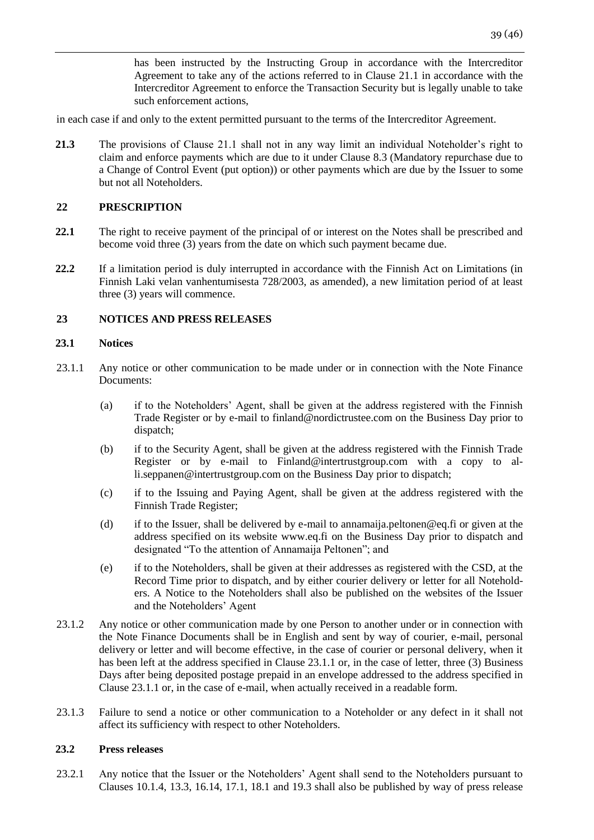has been instructed by the Instructing Group in accordance with the Intercreditor Agreement to take any of the actions referred to in Clause 21.1 in accordance with the Intercreditor Agreement to enforce the Transaction Security but is legally unable to take such enforcement actions,

in each case if and only to the extent permitted pursuant to the terms of the Intercreditor Agreement.

**21.3** The provisions of Clause 21.1 shall not in any way limit an individual Noteholder's right to claim and enforce payments which are due to it under Clause 8.3 (Mandatory repurchase due to a Change of Control Event (put option)) or other payments which are due by the Issuer to some but not all Noteholders.

# <span id="page-38-0"></span>**22 PRESCRIPTION**

- **22.1** The right to receive payment of the principal of or interest on the Notes shall be prescribed and become void three (3) years from the date on which such payment became due.
- **22.2** If a limitation period is duly interrupted in accordance with the Finnish Act on Limitations (in Finnish Laki velan vanhentumisesta 728/2003, as amended), a new limitation period of at least three (3) years will commence.

# <span id="page-38-1"></span>**23 NOTICES AND PRESS RELEASES**

# **23.1 Notices**

- 23.1.1 Any notice or other communication to be made under or in connection with the Note Finance Documents:
	- (a) if to the Noteholders' Agent, shall be given at the address registered with the Finnish Trade Register or by e-mail to finland@nordictrustee.com on the Business Day prior to dispatch;
	- (b) if to the Security Agent, shall be given at the address registered with the Finnish Trade Register or by e-mail to Finland@intertrustgroup.com with a copy to alli.seppanen@intertrustgroup.com on the Business Day prior to dispatch;
	- (c) if to the Issuing and Paying Agent, shall be given at the address registered with the Finnish Trade Register;
	- (d) if to the Issuer, shall be delivered by e-mail to annamaija.peltonen@eq.fi or given at the address specified on its website www.eq.fi on the Business Day prior to dispatch and designated "To the attention of Annamaija Peltonen"; and
	- (e) if to the Noteholders, shall be given at their addresses as registered with the CSD, at the Record Time prior to dispatch, and by either courier delivery or letter for all Noteholders. A Notice to the Noteholders shall also be published on the websites of the Issuer and the Noteholders' Agent
- 23.1.2 Any notice or other communication made by one Person to another under or in connection with the Note Finance Documents shall be in English and sent by way of courier, e-mail, personal delivery or letter and will become effective, in the case of courier or personal delivery, when it has been left at the address specified in Clause 23.1.1 or, in the case of letter, three (3) Business Days after being deposited postage prepaid in an envelope addressed to the address specified in Clause 23.1.1 or, in the case of e-mail, when actually received in a readable form.
- 23.1.3 Failure to send a notice or other communication to a Noteholder or any defect in it shall not affect its sufficiency with respect to other Noteholders.

## **23.2 Press releases**

23.2.1 Any notice that the Issuer or the Noteholders' Agent shall send to the Noteholders pursuant to Clauses 10.1.4, 13.3, 16.14, 17.1, 18.1 and 19.3 shall also be published by way of press release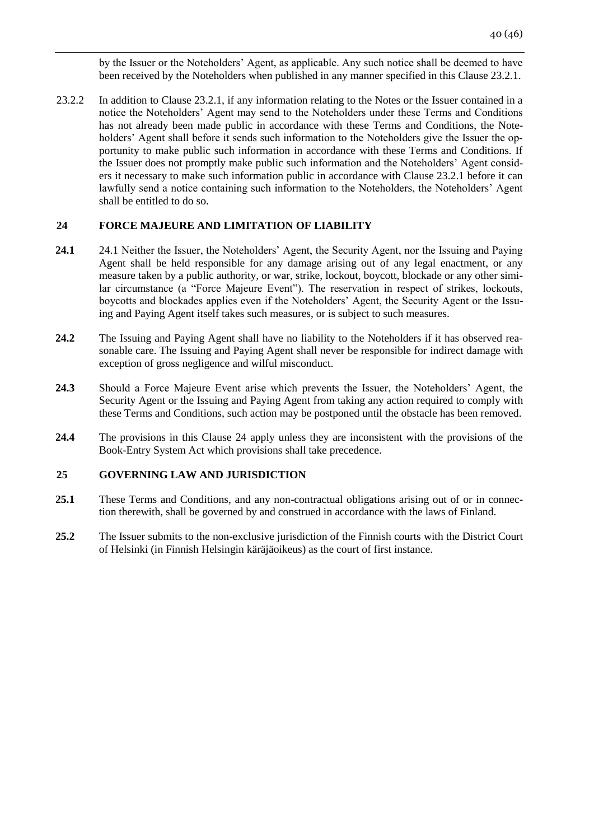by the Issuer or the Noteholders' Agent, as applicable. Any such notice shall be deemed to have been received by the Noteholders when published in any manner specified in this Clause 23.2.1.

23.2.2 In addition to Clause 23.2.1, if any information relating to the Notes or the Issuer contained in a notice the Noteholders' Agent may send to the Noteholders under these Terms and Conditions has not already been made public in accordance with these Terms and Conditions, the Noteholders' Agent shall before it sends such information to the Noteholders give the Issuer the opportunity to make public such information in accordance with these Terms and Conditions. If the Issuer does not promptly make public such information and the Noteholders' Agent considers it necessary to make such information public in accordance with Clause 23.2.1 before it can lawfully send a notice containing such information to the Noteholders, the Noteholders' Agent shall be entitled to do so.

# <span id="page-39-0"></span>**24 FORCE MAJEURE AND LIMITATION OF LIABILITY**

- **24.1** 24.1 Neither the Issuer, the Noteholders' Agent, the Security Agent, nor the Issuing and Paying Agent shall be held responsible for any damage arising out of any legal enactment, or any measure taken by a public authority, or war, strike, lockout, boycott, blockade or any other similar circumstance (a "Force Majeure Event"). The reservation in respect of strikes, lockouts, boycotts and blockades applies even if the Noteholders' Agent, the Security Agent or the Issuing and Paying Agent itself takes such measures, or is subject to such measures.
- **24.2** The Issuing and Paying Agent shall have no liability to the Noteholders if it has observed reasonable care. The Issuing and Paying Agent shall never be responsible for indirect damage with exception of gross negligence and wilful misconduct.
- **24.3** Should a Force Majeure Event arise which prevents the Issuer, the Noteholders' Agent, the Security Agent or the Issuing and Paying Agent from taking any action required to comply with these Terms and Conditions, such action may be postponed until the obstacle has been removed.
- **24.4** The provisions in this Clause 24 apply unless they are inconsistent with the provisions of the Book-Entry System Act which provisions shall take precedence.

## <span id="page-39-1"></span>**25 GOVERNING LAW AND JURISDICTION**

- 25.1 These Terms and Conditions, and any non-contractual obligations arising out of or in connection therewith, shall be governed by and construed in accordance with the laws of Finland.
- **25.2** The Issuer submits to the non-exclusive jurisdiction of the Finnish courts with the District Court of Helsinki (in Finnish Helsingin käräjäoikeus) as the court of first instance.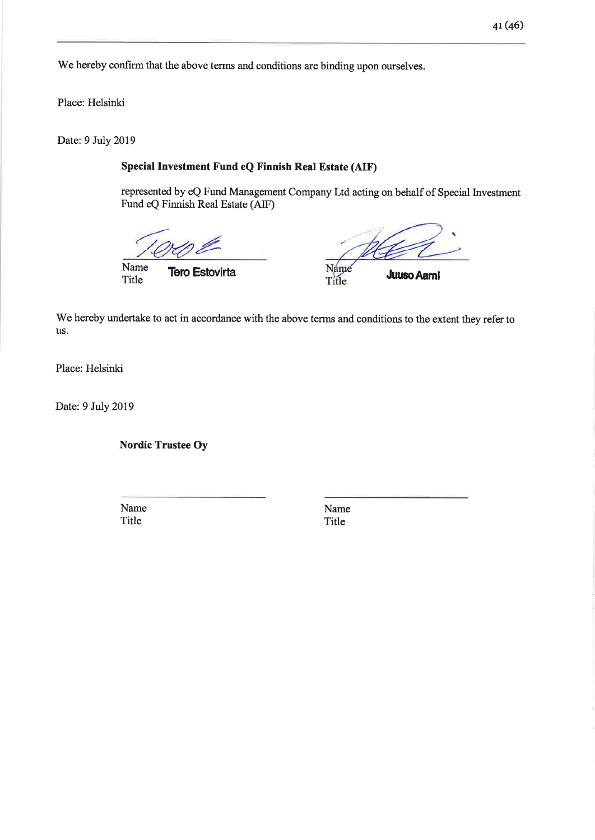We hereby confirm that the above terms and conditions are binding upon ourselves.

Place: Helsinki

Date: 9 July 2019

# Special Investment Fund eQ Finnish Real Estate (AIF)

represented by eQ Fund Management Company Ltd acting on behalf of Special Investment Fund eQ Finnish Real Estate (AIF)

Name Title

**Tero Estovirta** 

Name Title

**Juuso Aami** 

We hereby undertake to act in accordance with the above terms and conditions to the extent they refer to us.

Place: Helsinki

Date: 9 July 2019

**Nordic Trustee Oy** 

Name Title

Name Title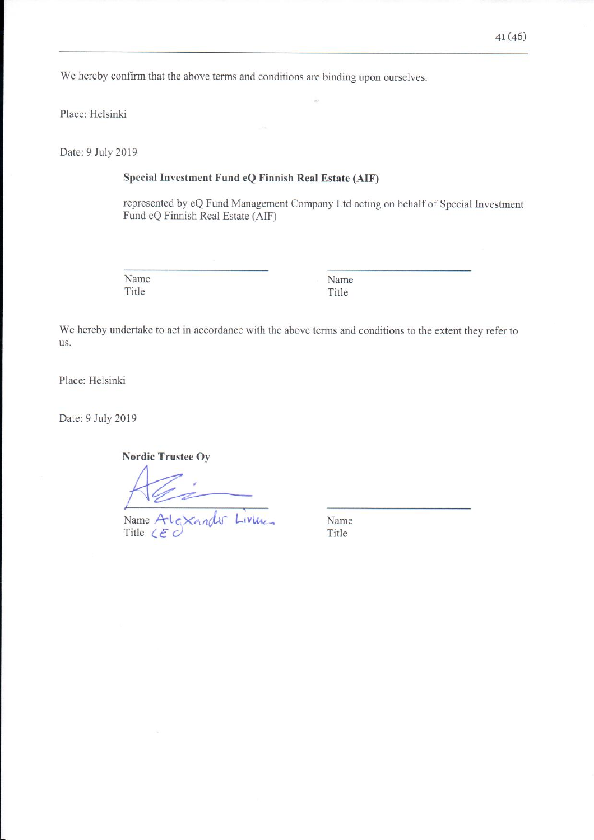We hereby confirm that the above terms and conditions are binding upon ourselves.

Place: Helsinki

Date: 9 July 2019

## Special Investment Fund eQ Finnish Real Estate (AIF)

represented by eQ Fund Management Company Ltd acting on behalf of Special Investment Fund eQ Finnish Real Estate (AIF)

Name Title

Name Title

We hereby undertake to act in accordance with the above terms and conditions to the extent they refer to us.

Place: Helsinki

Date: 9 July 2019

**Nordic Trustee Ov** 

Name Alexandr Livines

Name Title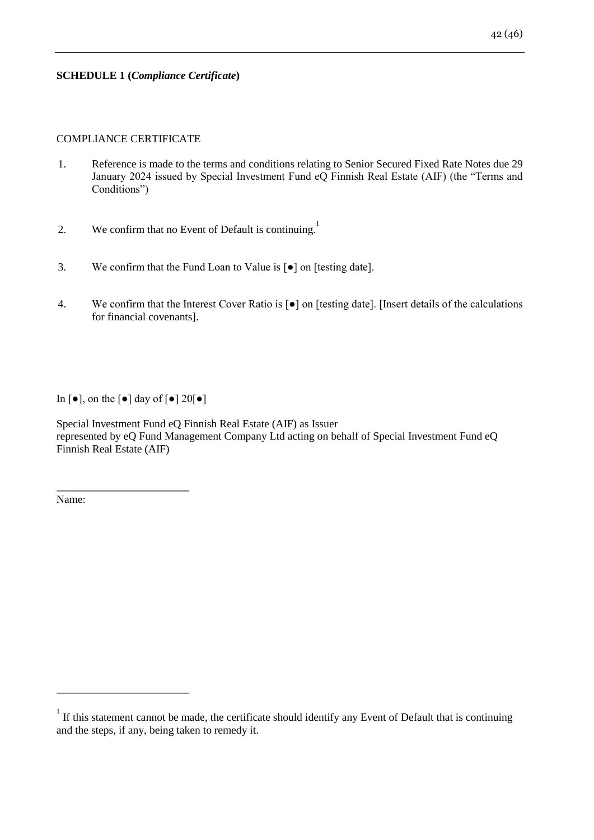# **SCHEDULE 1 (***Compliance Certificate***)**

# COMPLIANCE CERTIFICATE

- 1. Reference is made to the terms and conditions relating to Senior Secured Fixed Rate Notes due 29 January 2024 issued by Special Investment Fund eQ Finnish Real Estate (AIF) (the "Terms and Conditions")
- 2. We confirm that no Event of Default is continuing.
- 3. We confirm that the Fund Loan to Value is [●] on [testing date].
- 4. We confirm that the Interest Cover Ratio is [●] on [testing date]. [Insert details of the calculations for financial covenants].

In  $[\bullet]$ , on the  $[\bullet]$  day of  $[\bullet]$  20 $[\bullet]$ 

Special Investment Fund eQ Finnish Real Estate (AIF) as Issuer represented by eQ Fund Management Company Ltd acting on behalf of Special Investment Fund eQ Finnish Real Estate (AIF)

Name:

If this statement cannot be made, the certificate should identify any Event of Default that is continuing and the steps, if any, being taken to remedy it.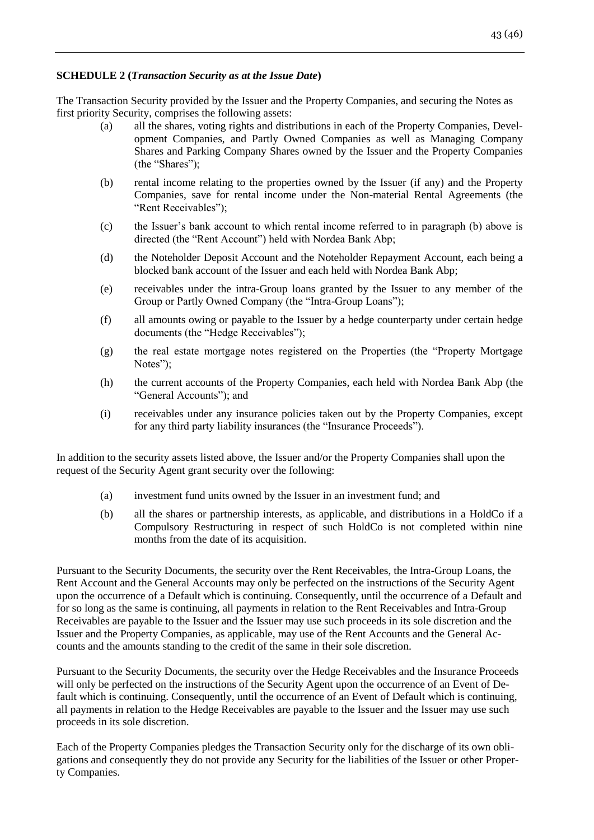# **SCHEDULE 2 (***Transaction Security as at the Issue Date***)**

The Transaction Security provided by the Issuer and the Property Companies, and securing the Notes as first priority Security, comprises the following assets:

- (a) all the shares, voting rights and distributions in each of the Property Companies, Development Companies, and Partly Owned Companies as well as Managing Company Shares and Parking Company Shares owned by the Issuer and the Property Companies (the "Shares");
- (b) rental income relating to the properties owned by the Issuer (if any) and the Property Companies, save for rental income under the Non-material Rental Agreements (the "Rent Receivables");
- (c) the Issuer's bank account to which rental income referred to in paragraph (b) above is directed (the "Rent Account") held with Nordea Bank Abp;
- (d) the Noteholder Deposit Account and the Noteholder Repayment Account, each being a blocked bank account of the Issuer and each held with Nordea Bank Abp;
- (e) receivables under the intra-Group loans granted by the Issuer to any member of the Group or Partly Owned Company (the "Intra-Group Loans");
- (f) all amounts owing or payable to the Issuer by a hedge counterparty under certain hedge documents (the "Hedge Receivables");
- (g) the real estate mortgage notes registered on the Properties (the "Property Mortgage Notes");
- (h) the current accounts of the Property Companies, each held with Nordea Bank Abp (the "General Accounts"); and
- (i) receivables under any insurance policies taken out by the Property Companies, except for any third party liability insurances (the "Insurance Proceeds").

In addition to the security assets listed above, the Issuer and/or the Property Companies shall upon the request of the Security Agent grant security over the following:

- (a) investment fund units owned by the Issuer in an investment fund; and
- (b) all the shares or partnership interests, as applicable, and distributions in a HoldCo if a Compulsory Restructuring in respect of such HoldCo is not completed within nine months from the date of its acquisition.

Pursuant to the Security Documents, the security over the Rent Receivables, the Intra-Group Loans, the Rent Account and the General Accounts may only be perfected on the instructions of the Security Agent upon the occurrence of a Default which is continuing. Consequently, until the occurrence of a Default and for so long as the same is continuing, all payments in relation to the Rent Receivables and Intra-Group Receivables are payable to the Issuer and the Issuer may use such proceeds in its sole discretion and the Issuer and the Property Companies, as applicable, may use of the Rent Accounts and the General Accounts and the amounts standing to the credit of the same in their sole discretion.

Pursuant to the Security Documents, the security over the Hedge Receivables and the Insurance Proceeds will only be perfected on the instructions of the Security Agent upon the occurrence of an Event of Default which is continuing. Consequently, until the occurrence of an Event of Default which is continuing, all payments in relation to the Hedge Receivables are payable to the Issuer and the Issuer may use such proceeds in its sole discretion.

Each of the Property Companies pledges the Transaction Security only for the discharge of its own obligations and consequently they do not provide any Security for the liabilities of the Issuer or other Property Companies.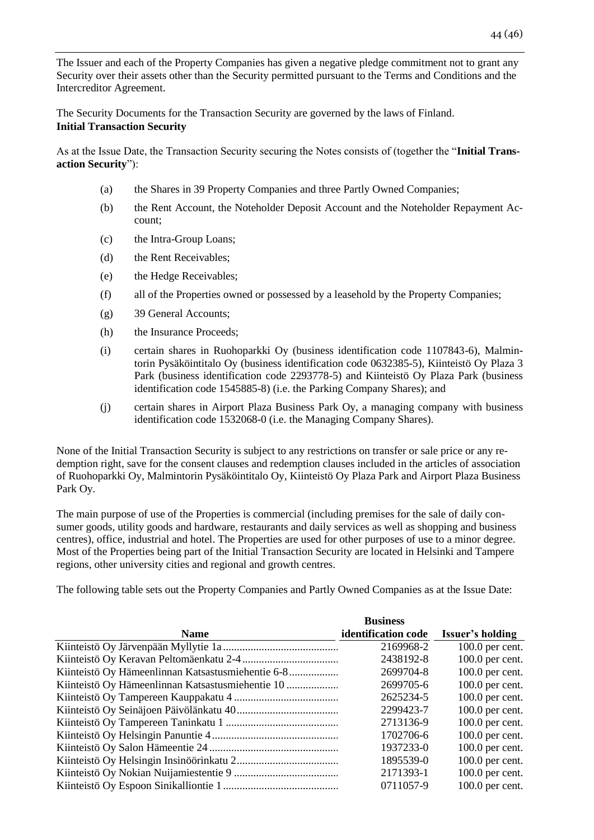The Issuer and each of the Property Companies has given a negative pledge commitment not to grant any Security over their assets other than the Security permitted pursuant to the Terms and Conditions and the Intercreditor Agreement.

The Security Documents for the Transaction Security are governed by the laws of Finland. **Initial Transaction Security**

As at the Issue Date, the Transaction Security securing the Notes consists of (together the "**Initial Transaction Security**"):

- (a) the Shares in 39 Property Companies and three Partly Owned Companies;
- (b) the Rent Account, the Noteholder Deposit Account and the Noteholder Repayment Account;
- (c) the Intra-Group Loans;
- (d) the Rent Receivables;
- (e) the Hedge Receivables;
- (f) all of the Properties owned or possessed by a leasehold by the Property Companies;
- (g) 39 General Accounts;
- (h) the Insurance Proceeds;
- (i) certain shares in Ruohoparkki Oy (business identification code 1107843-6), Malmintorin Pysäköintitalo Oy (business identification code 0632385-5), Kiinteistö Oy Plaza 3 Park (business identification code 2293778-5) and Kiinteistö Oy Plaza Park (business identification code 1545885-8) (i.e. the Parking Company Shares); and
- (j) certain shares in Airport Plaza Business Park Oy, a managing company with business identification code 1532068-0 (i.e. the Managing Company Shares).

None of the Initial Transaction Security is subject to any restrictions on transfer or sale price or any redemption right, save for the consent clauses and redemption clauses included in the articles of association of Ruohoparkki Oy, Malmintorin Pysäköintitalo Oy, Kiinteistö Oy Plaza Park and Airport Plaza Business Park Oy.

The main purpose of use of the Properties is commercial (including premises for the sale of daily consumer goods, utility goods and hardware, restaurants and daily services as well as shopping and business centres), office, industrial and hotel. The Properties are used for other purposes of use to a minor degree. Most of the Properties being part of the Initial Transaction Security are located in Helsinki and Tampere regions, other university cities and regional and growth centres.

The following table sets out the Property Companies and Partly Owned Companies as at the Issue Date:

|             | <b>Business</b>     |                   |
|-------------|---------------------|-------------------|
| <b>Name</b> | identification code | Issuer's holding  |
|             | 2169968-2           | $100.0$ per cent. |
|             | 2438192-8           | 100.0 per cent.   |
|             | 2699704-8           | $100.0$ per cent. |
|             | 2699705-6           | $100.0$ per cent. |
|             | 2625234-5           | $100.0$ per cent. |
|             | 2299423-7           | $100.0$ per cent. |
|             | 2713136-9           | $100.0$ per cent. |
|             | 1702706-6           | $100.0$ per cent. |
|             | 1937233-0           | $100.0$ per cent. |
|             | 1895539-0           | $100.0$ per cent. |
|             | 2171393-1           | $100.0$ per cent. |
|             | 0711057-9           | $100.0$ per cent. |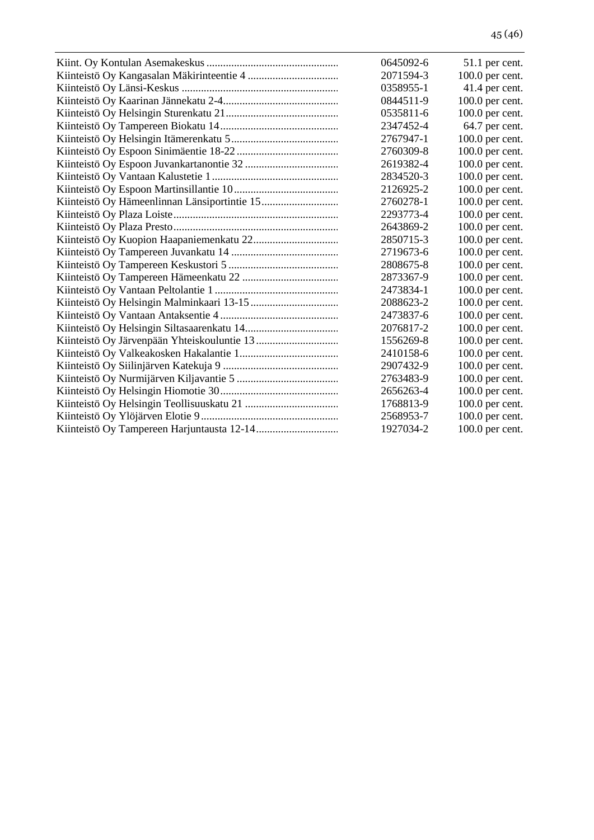| 0645092-6 | 51.1 per cent.  |
|-----------|-----------------|
| 2071594-3 | 100.0 per cent. |
| 0358955-1 | 41.4 per cent.  |
| 0844511-9 | 100.0 per cent. |
| 0535811-6 | 100.0 per cent. |
| 2347452-4 | 64.7 per cent.  |
| 2767947-1 | 100.0 per cent. |
| 2760309-8 | 100.0 per cent. |
| 2619382-4 | 100.0 per cent. |
| 2834520-3 | 100.0 per cent. |
| 2126925-2 | 100.0 per cent. |
| 2760278-1 | 100.0 per cent. |
| 2293773-4 | 100.0 per cent. |
| 2643869-2 | 100.0 per cent. |
| 2850715-3 | 100.0 per cent. |
| 2719673-6 | 100.0 per cent. |
| 2808675-8 | 100.0 per cent. |
| 2873367-9 | 100.0 per cent. |
| 2473834-1 | 100.0 per cent. |
| 2088623-2 | 100.0 per cent. |
| 2473837-6 | 100.0 per cent. |
| 2076817-2 | 100.0 per cent. |
| 1556269-8 | 100.0 per cent. |
| 2410158-6 | 100.0 per cent. |
| 2907432-9 | 100.0 per cent. |
| 2763483-9 | 100.0 per cent. |
| 2656263-4 | 100.0 per cent. |
| 1768813-9 | 100.0 per cent. |
| 2568953-7 | 100.0 per cent. |
| 1927034-2 | 100.0 per cent. |